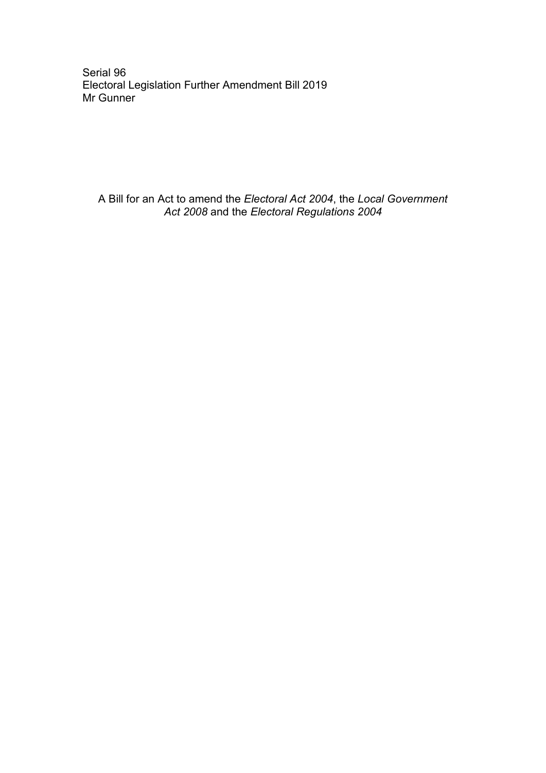Serial 96 Electoral Legislation Further Amendment Bill 2019 Mr Gunner

A Bill for an Act to amend the *Electoral Act 2004*, the *Local Government Act 2008* and the *Electoral Regulations 2004*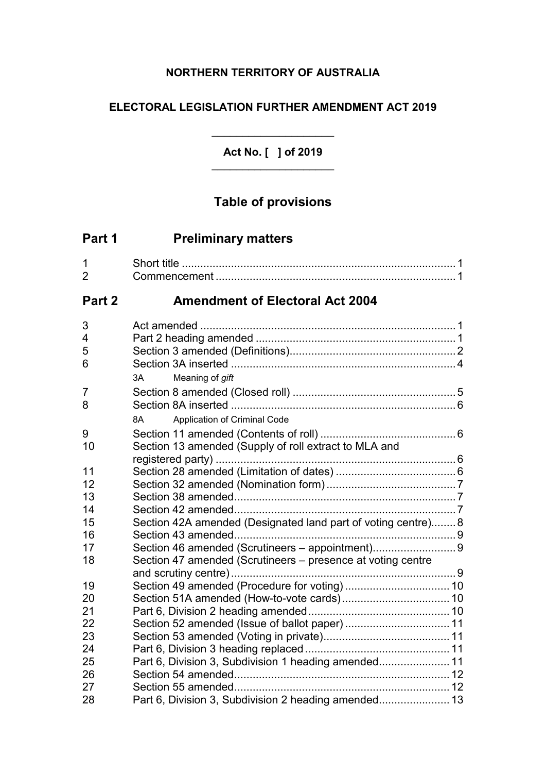## **NORTHERN TERRITORY OF AUSTRALIA**

## **ELECTORAL LEGISLATION FURTHER AMENDMENT ACT 2019**

**Act No. [ ] of 2019** \_\_\_\_\_\_\_\_\_\_\_\_\_\_\_\_\_\_\_\_

\_\_\_\_\_\_\_\_\_\_\_\_\_\_\_\_\_\_\_\_

# **Table of provisions**

| Part 1              | <b>Preliminary matters</b>                                    |  |
|---------------------|---------------------------------------------------------------|--|
| 1<br>$\overline{2}$ |                                                               |  |
| Part 2              | <b>Amendment of Electoral Act 2004</b>                        |  |
| 3                   |                                                               |  |
| 4                   |                                                               |  |
| 5                   |                                                               |  |
| 6                   |                                                               |  |
|                     | ЗA<br>Meaning of gift                                         |  |
| 7                   |                                                               |  |
| 8                   |                                                               |  |
|                     | Application of Criminal Code<br>8A                            |  |
| 9                   |                                                               |  |
| 10                  | Section 13 amended (Supply of roll extract to MLA and         |  |
|                     |                                                               |  |
| 11                  |                                                               |  |
| 12<br>13            |                                                               |  |
| 14                  |                                                               |  |
| 15                  | Section 42A amended (Designated land part of voting centre) 8 |  |
| 16                  |                                                               |  |
| 17                  | Section 46 amended (Scrutineers - appointment)9               |  |
| 18                  | Section 47 amended (Scrutineers - presence at voting centre   |  |
|                     |                                                               |  |
| 19                  |                                                               |  |
| 20                  |                                                               |  |
| 21                  |                                                               |  |
| 22                  |                                                               |  |
| 23                  |                                                               |  |
| 24                  |                                                               |  |
| 25                  | Part 6, Division 3, Subdivision 1 heading amended 11          |  |
| 26                  |                                                               |  |
| 27                  |                                                               |  |
| 28                  |                                                               |  |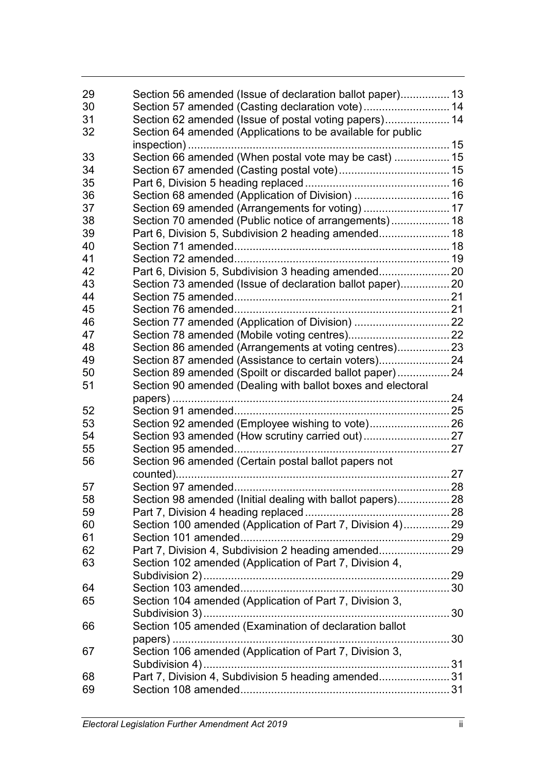| 29 | Section 56 amended (Issue of declaration ballot paper) 13   |  |
|----|-------------------------------------------------------------|--|
| 30 |                                                             |  |
| 31 | Section 62 amended (Issue of postal voting papers) 14       |  |
| 32 | Section 64 amended (Applications to be available for public |  |
|    |                                                             |  |
| 33 | Section 66 amended (When postal vote may be cast)  15       |  |
| 34 |                                                             |  |
| 35 |                                                             |  |
| 36 | Section 68 amended (Application of Division)  16            |  |
| 37 |                                                             |  |
| 38 | Section 70 amended (Public notice of arrangements) 18       |  |
| 39 |                                                             |  |
| 40 |                                                             |  |
| 41 |                                                             |  |
| 42 |                                                             |  |
| 43 | Section 73 amended (Issue of declaration ballot paper) 20   |  |
| 44 |                                                             |  |
| 45 |                                                             |  |
| 46 |                                                             |  |
| 47 |                                                             |  |
| 48 | Section 86 amended (Arrangements at voting centres) 23      |  |
| 49 | Section 87 amended (Assistance to certain voters)24         |  |
| 50 | Section 89 amended (Spoilt or discarded ballot paper) 24    |  |
| 51 | Section 90 amended (Dealing with ballot boxes and electoral |  |
|    |                                                             |  |
| 52 |                                                             |  |
| 53 | Section 92 amended (Employee wishing to vote)26             |  |
| 54 |                                                             |  |
| 55 |                                                             |  |
| 56 | Section 96 amended (Certain postal ballot papers not        |  |
|    |                                                             |  |
| 57 |                                                             |  |
| 58 | Section 98 amended (Initial dealing with ballot papers) 28  |  |
| 59 |                                                             |  |
| 60 | Section 100 amended (Application of Part 7, Division 4) 29  |  |
| 61 |                                                             |  |
| 62 |                                                             |  |
| 63 | Section 102 amended (Application of Part 7, Division 4,     |  |
|    |                                                             |  |
| 64 |                                                             |  |
| 65 | Section 104 amended (Application of Part 7, Division 3,     |  |
|    |                                                             |  |
| 66 | Section 105 amended (Examination of declaration ballot      |  |
|    |                                                             |  |
| 67 | Section 106 amended (Application of Part 7, Division 3,     |  |
|    |                                                             |  |
| 68 | Part 7, Division 4, Subdivision 5 heading amended 31        |  |
| 69 |                                                             |  |
|    |                                                             |  |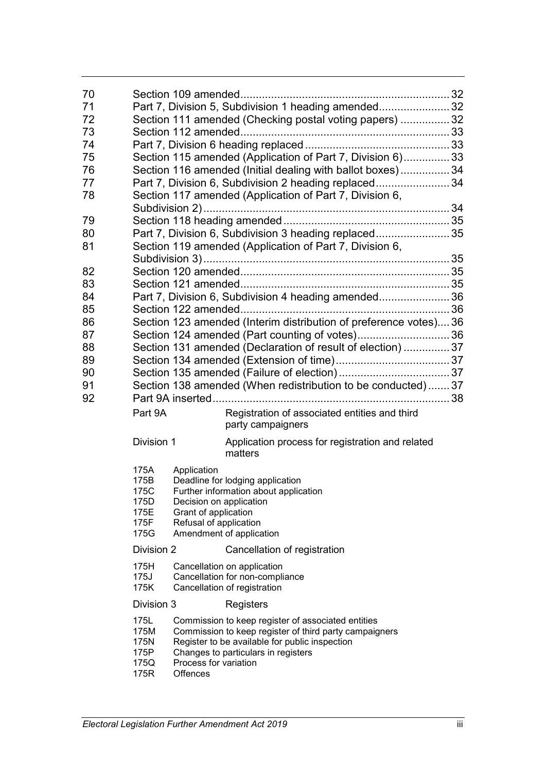| 70 |                                                         |                                                                                          |                                                                                                                                                                                                       |  |
|----|---------------------------------------------------------|------------------------------------------------------------------------------------------|-------------------------------------------------------------------------------------------------------------------------------------------------------------------------------------------------------|--|
| 71 |                                                         |                                                                                          | Part 7, Division 5, Subdivision 1 heading amended 32                                                                                                                                                  |  |
| 72 | Section 111 amended (Checking postal voting papers)  32 |                                                                                          |                                                                                                                                                                                                       |  |
| 73 |                                                         |                                                                                          |                                                                                                                                                                                                       |  |
| 74 |                                                         |                                                                                          |                                                                                                                                                                                                       |  |
| 75 |                                                         |                                                                                          | Section 115 amended (Application of Part 7, Division 6) 33                                                                                                                                            |  |
| 76 |                                                         |                                                                                          | Section 116 amended (Initial dealing with ballot boxes) 34                                                                                                                                            |  |
| 77 |                                                         |                                                                                          | Part 7, Division 6, Subdivision 2 heading replaced 34                                                                                                                                                 |  |
| 78 |                                                         |                                                                                          | Section 117 amended (Application of Part 7, Division 6,                                                                                                                                               |  |
| 79 |                                                         |                                                                                          |                                                                                                                                                                                                       |  |
| 80 |                                                         |                                                                                          | Part 7, Division 6, Subdivision 3 heading replaced35                                                                                                                                                  |  |
| 81 |                                                         |                                                                                          | Section 119 amended (Application of Part 7, Division 6,                                                                                                                                               |  |
| 82 |                                                         |                                                                                          |                                                                                                                                                                                                       |  |
| 83 |                                                         |                                                                                          |                                                                                                                                                                                                       |  |
| 84 |                                                         |                                                                                          | Part 7, Division 6, Subdivision 4 heading amended 36                                                                                                                                                  |  |
| 85 |                                                         |                                                                                          |                                                                                                                                                                                                       |  |
| 86 |                                                         |                                                                                          | Section 123 amended (Interim distribution of preference votes) 36                                                                                                                                     |  |
| 87 |                                                         |                                                                                          |                                                                                                                                                                                                       |  |
|    |                                                         |                                                                                          | Section 124 amended (Part counting of votes)36                                                                                                                                                        |  |
| 88 |                                                         |                                                                                          | Section 131 amended (Declaration of result of election)  37                                                                                                                                           |  |
| 89 |                                                         |                                                                                          |                                                                                                                                                                                                       |  |
| 90 |                                                         |                                                                                          |                                                                                                                                                                                                       |  |
| 91 |                                                         |                                                                                          | Section 138 amended (When redistribution to be conducted) 37                                                                                                                                          |  |
| 92 | Part 9A                                                 |                                                                                          | Registration of associated entities and third                                                                                                                                                         |  |
|    |                                                         |                                                                                          | party campaigners                                                                                                                                                                                     |  |
|    | Division 1                                              |                                                                                          | Application process for registration and related<br>matters                                                                                                                                           |  |
|    | 175A<br>175B<br>175C<br>175D<br>175E<br>175F<br>175G    | Application<br>Decision on application<br>Grant of application<br>Refusal of application | Deadline for lodging application<br>Further information about application<br>Amendment of application                                                                                                 |  |
|    | Division 2                                              |                                                                                          | Cancellation of registration                                                                                                                                                                          |  |
|    | 175H<br>175J<br>175K                                    |                                                                                          | Cancellation on application<br>Cancellation for non-compliance<br>Cancellation of registration                                                                                                        |  |
|    | Division 3                                              |                                                                                          | Registers                                                                                                                                                                                             |  |
|    | 175L<br>175M<br>175N<br>175P<br>175Q<br>175R            | Process for variation<br><b>Offences</b>                                                 | Commission to keep register of associated entities<br>Commission to keep register of third party campaigners<br>Register to be available for public inspection<br>Changes to particulars in registers |  |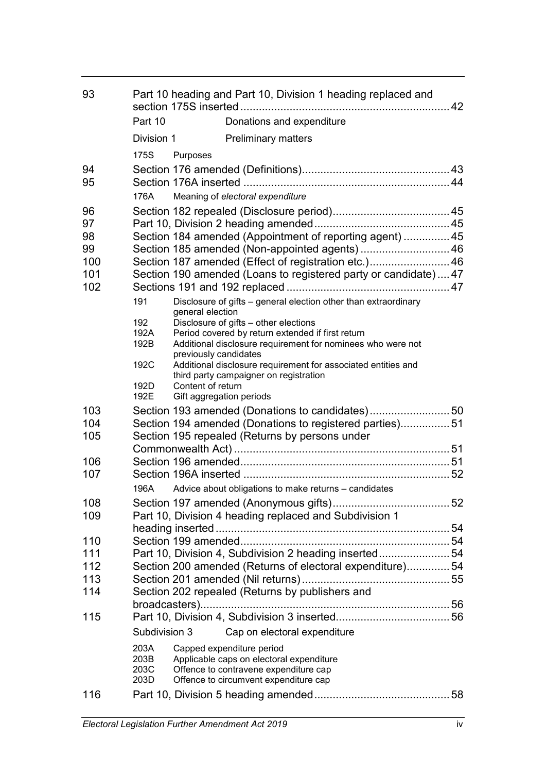| 93         | Part 10 heading and Part 10, Division 1 heading replaced and |                                               |                                                                                                         |  |
|------------|--------------------------------------------------------------|-----------------------------------------------|---------------------------------------------------------------------------------------------------------|--|
|            | Part 10                                                      |                                               | Donations and expenditure                                                                               |  |
|            | Division 1                                                   |                                               | <b>Preliminary matters</b>                                                                              |  |
|            | 175S                                                         | Purposes                                      |                                                                                                         |  |
| 94         |                                                              |                                               |                                                                                                         |  |
| 95         |                                                              |                                               |                                                                                                         |  |
|            | 176A                                                         |                                               | Meaning of electoral expenditure                                                                        |  |
| 96         |                                                              |                                               |                                                                                                         |  |
| 97         |                                                              |                                               |                                                                                                         |  |
| 98         |                                                              |                                               | Section 184 amended (Appointment of reporting agent)  45                                                |  |
| 99         |                                                              |                                               | Section 185 amended (Non-appointed agents)  46                                                          |  |
| 100        |                                                              |                                               | Section 187 amended (Effect of registration etc.) 46                                                    |  |
| 101<br>102 |                                                              |                                               | Section 190 amended (Loans to registered party or candidate) 47                                         |  |
|            | 191                                                          | general election                              | Disclosure of gifts - general election other than extraordinary                                         |  |
|            | 192                                                          |                                               | Disclosure of gifts - other elections                                                                   |  |
|            | 192A                                                         |                                               | Period covered by return extended if first return                                                       |  |
|            | 192B                                                         | previously candidates                         | Additional disclosure requirement for nominees who were not                                             |  |
|            | 192C                                                         |                                               | Additional disclosure requirement for associated entities and<br>third party campaigner on registration |  |
|            | 192D<br>192E                                                 | Content of return<br>Gift aggregation periods |                                                                                                         |  |
| 103        |                                                              |                                               | Section 193 amended (Donations to candidates)50                                                         |  |
| 104        |                                                              |                                               | Section 194 amended (Donations to registered parties)51                                                 |  |
| 105        |                                                              |                                               | Section 195 repealed (Returns by persons under                                                          |  |
|            |                                                              |                                               |                                                                                                         |  |
| 106<br>107 |                                                              |                                               |                                                                                                         |  |
|            | 196A                                                         |                                               | Advice about obligations to make returns - candidates                                                   |  |
| 108        |                                                              |                                               |                                                                                                         |  |
| 109        |                                                              |                                               | Part 10, Division 4 heading replaced and Subdivision 1                                                  |  |
|            |                                                              |                                               |                                                                                                         |  |
| 110        |                                                              |                                               |                                                                                                         |  |
| 111        |                                                              |                                               | Part 10, Division 4, Subdivision 2 heading inserted54                                                   |  |
| 112        |                                                              |                                               | Section 200 amended (Returns of electoral expenditure)54                                                |  |
| 113        |                                                              |                                               |                                                                                                         |  |
| 114        |                                                              |                                               | Section 202 repealed (Returns by publishers and                                                         |  |
|            |                                                              |                                               |                                                                                                         |  |
| 115        | Subdivision 3                                                |                                               | Cap on electoral expenditure                                                                            |  |
|            | 203A                                                         |                                               | Capped expenditure period                                                                               |  |
|            | 203B                                                         |                                               | Applicable caps on electoral expenditure                                                                |  |
|            | 203C                                                         |                                               | Offence to contravene expenditure cap                                                                   |  |
|            | 203D                                                         |                                               | Offence to circumvent expenditure cap                                                                   |  |
| 116        |                                                              |                                               |                                                                                                         |  |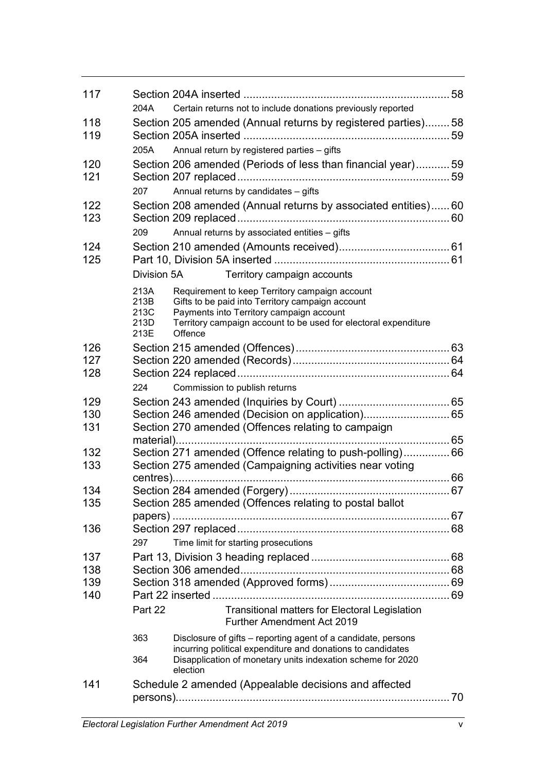| 117        |                                      |          |                                                                                                                                                                                                                   |  |
|------------|--------------------------------------|----------|-------------------------------------------------------------------------------------------------------------------------------------------------------------------------------------------------------------------|--|
|            | 204A                                 |          | Certain returns not to include donations previously reported                                                                                                                                                      |  |
| 118<br>119 |                                      |          | Section 205 amended (Annual returns by registered parties)58                                                                                                                                                      |  |
|            | 205A                                 |          | Annual return by registered parties - gifts                                                                                                                                                                       |  |
| 120<br>121 |                                      |          | Section 206 amended (Periods of less than financial year)59                                                                                                                                                       |  |
|            | 207                                  |          | Annual returns by candidates - gifts                                                                                                                                                                              |  |
| 122<br>123 |                                      |          | Section 208 amended (Annual returns by associated entities)60                                                                                                                                                     |  |
|            | 209                                  |          | Annual returns by associated entities - gifts                                                                                                                                                                     |  |
| 124<br>125 |                                      |          |                                                                                                                                                                                                                   |  |
|            | Division 5A                          |          | Territory campaign accounts                                                                                                                                                                                       |  |
|            | 213A<br>213B<br>213C<br>213D<br>213E | Offence  | Requirement to keep Territory campaign account<br>Gifts to be paid into Territory campaign account<br>Payments into Territory campaign account<br>Territory campaign account to be used for electoral expenditure |  |
| 126        |                                      |          |                                                                                                                                                                                                                   |  |
| 127        |                                      |          |                                                                                                                                                                                                                   |  |
| 128        |                                      |          |                                                                                                                                                                                                                   |  |
|            | 224                                  |          | Commission to publish returns                                                                                                                                                                                     |  |
| 129        |                                      |          |                                                                                                                                                                                                                   |  |
| 130        |                                      |          | Section 246 amended (Decision on application) 65                                                                                                                                                                  |  |
| 131        |                                      |          | Section 270 amended (Offences relating to campaign                                                                                                                                                                |  |
| 132        |                                      |          | Section 271 amended (Offence relating to push-polling) 66                                                                                                                                                         |  |
| 133        |                                      |          | Section 275 amended (Campaigning activities near voting                                                                                                                                                           |  |
| 134        |                                      |          |                                                                                                                                                                                                                   |  |
| 135        |                                      |          | Section 285 amended (Offences relating to postal ballot                                                                                                                                                           |  |
|            |                                      |          |                                                                                                                                                                                                                   |  |
| 136        |                                      |          |                                                                                                                                                                                                                   |  |
|            | 297                                  |          | Time limit for starting prosecutions                                                                                                                                                                              |  |
| 137        |                                      |          |                                                                                                                                                                                                                   |  |
| 138        |                                      |          |                                                                                                                                                                                                                   |  |
| 139        |                                      |          |                                                                                                                                                                                                                   |  |
| 140        |                                      |          |                                                                                                                                                                                                                   |  |
|            | Part 22                              |          | Transitional matters for Electoral Legislation<br><b>Further Amendment Act 2019</b>                                                                                                                               |  |
|            | 363                                  |          | Disclosure of gifts – reporting agent of a candidate, persons<br>incurring political expenditure and donations to candidates                                                                                      |  |
|            | 364                                  | election | Disapplication of monetary units indexation scheme for 2020                                                                                                                                                       |  |
| 141        |                                      |          | Schedule 2 amended (Appealable decisions and affected                                                                                                                                                             |  |
|            |                                      |          |                                                                                                                                                                                                                   |  |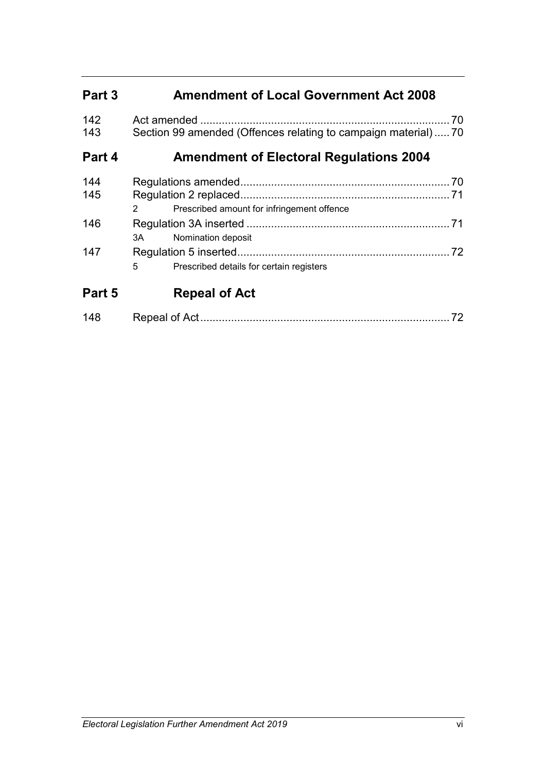# **Part 3 Amendment of Local Government Act 2008**

| 142<br>143 |               | Section 99 amended (Offences relating to campaign material)70 | 70   |
|------------|---------------|---------------------------------------------------------------|------|
| Part 4     |               | <b>Amendment of Electoral Regulations 2004</b>                |      |
| 144<br>145 |               |                                                               | . 70 |
|            | $\mathcal{P}$ | Prescribed amount for infringement offence                    |      |
| 146        | 3A            | Nomination deposit                                            | 71   |
| 147        | 5             | Prescribed details for certain registers                      | 72   |
| Part 5     |               | <b>Repeal of Act</b>                                          |      |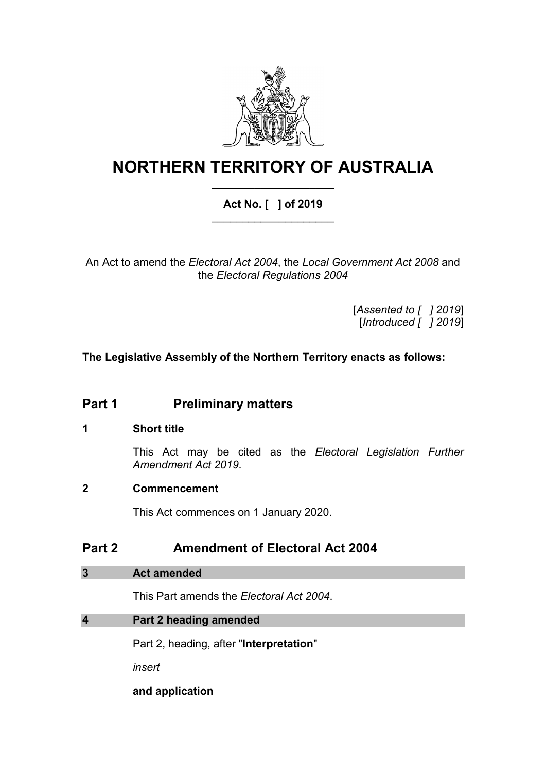

# **NORTHERN TERRITORY OF AUSTRALIA** \_\_\_\_\_\_\_\_\_\_\_\_\_\_\_\_\_\_\_\_

## **Act No. [ ] of 2019** \_\_\_\_\_\_\_\_\_\_\_\_\_\_\_\_\_\_\_\_

An Act to amend the *Electoral Act 2004*, the *Local Government Act 2008* and the *Electoral Regulations 2004*

> [*Assented to [ ] 2019*] [*Introduced [ ] 2019*]

**The Legislative Assembly of the Northern Territory enacts as follows:**

## **Part 1 Preliminary matters**

## **1 Short title**

This Act may be cited as the *Electoral Legislation Further Amendment Act 2019*.

## **2 Commencement**

This Act commences on 1 January 2020.

## **Part 2 Amendment of Electoral Act 2004**

## **3 Act amended**

This Part amends the *Electoral Act 2004*.

## **4 Part 2 heading amended**

Part 2, heading, after "**Interpretation**"

*insert*

**and application**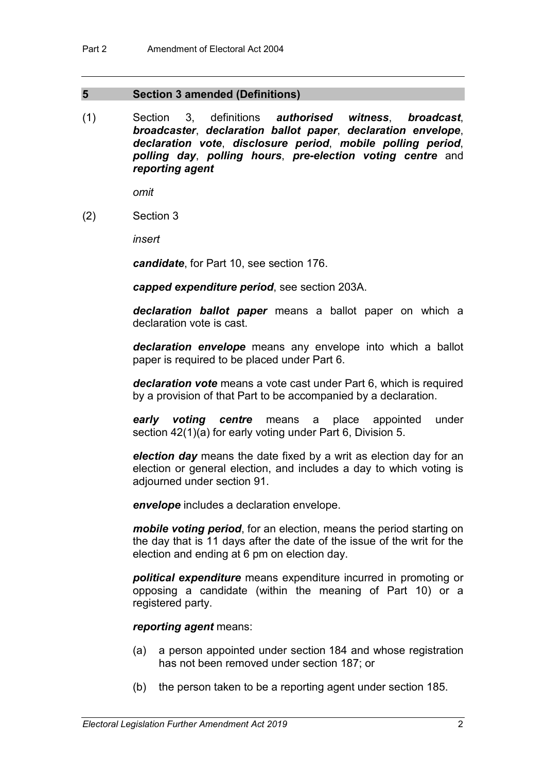### **5 Section 3 amended (Definitions)**

(1) Section 3, definitions *authorised witness*, *broadcast*, *broadcaster*, *declaration ballot paper*, *declaration envelope*, *declaration vote*, *disclosure period*, *mobile polling period*, *polling day*, *polling hours*, *pre-election voting centre* and *reporting agent*

*omit*

(2) Section 3

*insert*

*candidate*, for Part 10, see section 176.

*capped expenditure period*, see section 203A.

*declaration ballot paper* means a ballot paper on which a declaration vote is cast.

*declaration envelope* means any envelope into which a ballot paper is required to be placed under Part 6.

*declaration vote* means a vote cast under Part 6, which is required by a provision of that Part to be accompanied by a declaration.

*early voting centre* means a place appointed under section 42(1)(a) for early voting under Part 6, Division 5.

*election day* means the date fixed by a writ as election day for an election or general election, and includes a day to which voting is adjourned under section 91.

*envelope* includes a declaration envelope.

*mobile voting period*, for an election, means the period starting on the day that is 11 days after the date of the issue of the writ for the election and ending at 6 pm on election day.

*political expenditure* means expenditure incurred in promoting or opposing a candidate (within the meaning of Part 10) or a registered party.

#### *reporting agent* means:

- (a) a person appointed under section 184 and whose registration has not been removed under section 187; or
- (b) the person taken to be a reporting agent under section 185.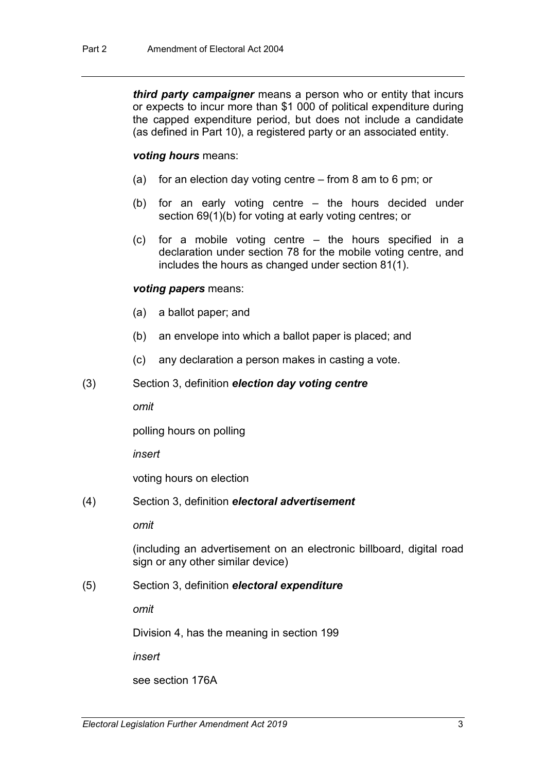*third party campaigner* means a person who or entity that incurs or expects to incur more than \$1 000 of political expenditure during the capped expenditure period, but does not include a candidate (as defined in Part 10), a registered party or an associated entity.

### *voting hours* means:

- (a) for an election day voting centre from 8 am to 6 pm; or
- (b) for an early voting centre the hours decided under section 69(1)(b) for voting at early voting centres; or
- (c) for a mobile voting centre the hours specified in a declaration under section 78 for the mobile voting centre, and includes the hours as changed under section 81(1).

### *voting papers* means:

- (a) a ballot paper; and
- (b) an envelope into which a ballot paper is placed; and
- (c) any declaration a person makes in casting a vote.

#### (3) Section 3, definition *election day voting centre*

*omit*

polling hours on polling

*insert*

voting hours on election

(4) Section 3, definition *electoral advertisement*

*omit*

(including an advertisement on an electronic billboard, digital road sign or any other similar device)

## (5) Section 3, definition *electoral expenditure*

*omit*

Division 4, has the meaning in section 199

*insert*

see section 176A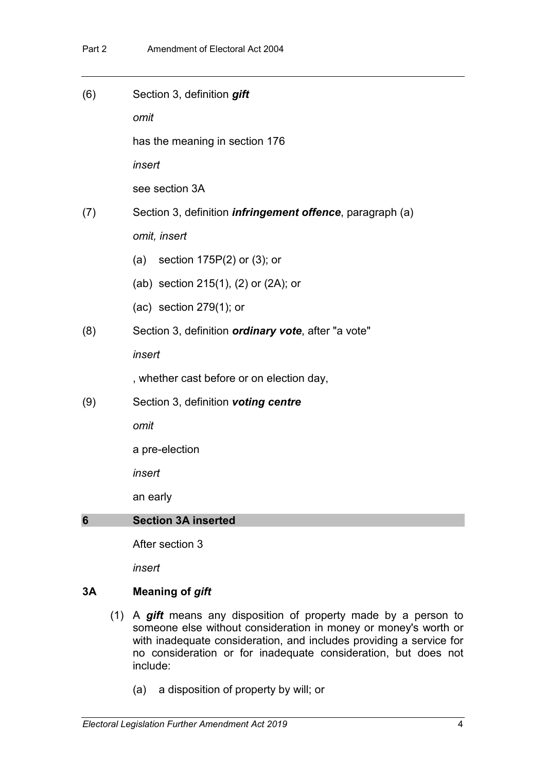| (6) | Section 3, definition gift                                        |
|-----|-------------------------------------------------------------------|
|     | omit                                                              |
|     | has the meaning in section 176                                    |
|     | insert                                                            |
|     | see section 3A                                                    |
| (7) | Section 3, definition <i>infringement offence</i> , paragraph (a) |
|     | omit, insert                                                      |
|     | (a)<br>section $175P(2)$ or (3); or                               |
|     | (ab) section 215(1), (2) or (2A); or                              |
|     | (ac) section $279(1)$ ; or                                        |
| (8) | Section 3, definition <i>ordinary</i> vote, after "a vote"        |
|     | insert                                                            |
|     | , whether cast before or on election day,                         |
| (9) | Section 3, definition voting centre                               |
|     | omit                                                              |
|     | a pre-election                                                    |
|     | insert                                                            |
|     | an early                                                          |
| 6   | <b>Section 3A inserted</b>                                        |
|     |                                                                   |

After section 3

*insert*

## **3A Meaning of** *gift*

- (1) A *gift* means any disposition of property made by a person to someone else without consideration in money or money's worth or with inadequate consideration, and includes providing a service for no consideration or for inadequate consideration, but does not include:
	- (a) a disposition of property by will; or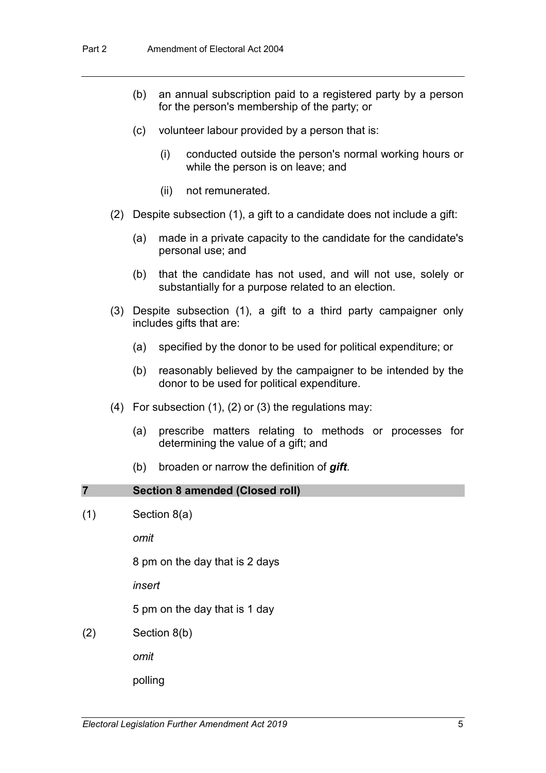- (b) an annual subscription paid to a registered party by a person for the person's membership of the party; or
- (c) volunteer labour provided by a person that is:
	- (i) conducted outside the person's normal working hours or while the person is on leave; and
	- (ii) not remunerated.
- (2) Despite subsection (1), a gift to a candidate does not include a gift:
	- (a) made in a private capacity to the candidate for the candidate's personal use; and
	- (b) that the candidate has not used, and will not use, solely or substantially for a purpose related to an election.
- (3) Despite subsection (1), a gift to a third party campaigner only includes gifts that are:
	- (a) specified by the donor to be used for political expenditure; or
	- (b) reasonably believed by the campaigner to be intended by the donor to be used for political expenditure.
- (4) For subsection (1), (2) or (3) the regulations may:
	- (a) prescribe matters relating to methods or processes for determining the value of a gift; and
	- (b) broaden or narrow the definition of *gift*.

#### **7 Section 8 amended (Closed roll)**

 $(1)$  Section 8(a)

*omit*

8 pm on the day that is 2 days

*insert*

5 pm on the day that is 1 day

(2) Section 8(b)

*omit*

polling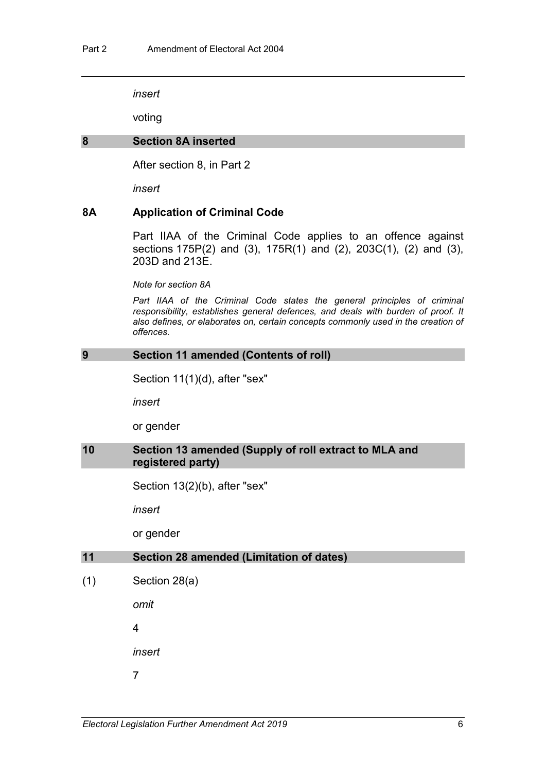voting

#### **8 Section 8A inserted**

After section 8, in Part 2

*insert*

#### **8A Application of Criminal Code**

Part IIAA of the Criminal Code applies to an offence against sections 175P(2) and (3), 175R(1) and (2), 203C(1), (2) and (3), 203D and 213E.

*Note for section 8A*

Part IIAA of the Criminal Code states the general principles of criminal *responsibility, establishes general defences, and deals with burden of proof. It also defines, or elaborates on, certain concepts commonly used in the creation of offences.*

#### **9 Section 11 amended (Contents of roll)**

Section 11(1)(d), after "sex"

*insert*

or gender

#### **10 Section 13 amended (Supply of roll extract to MLA and registered party)**

Section 13(2)(b), after "sex"

*insert*

or gender

#### **11 Section 28 amended (Limitation of dates)**

(1) Section 28(a)

*omit*

4

*insert*

7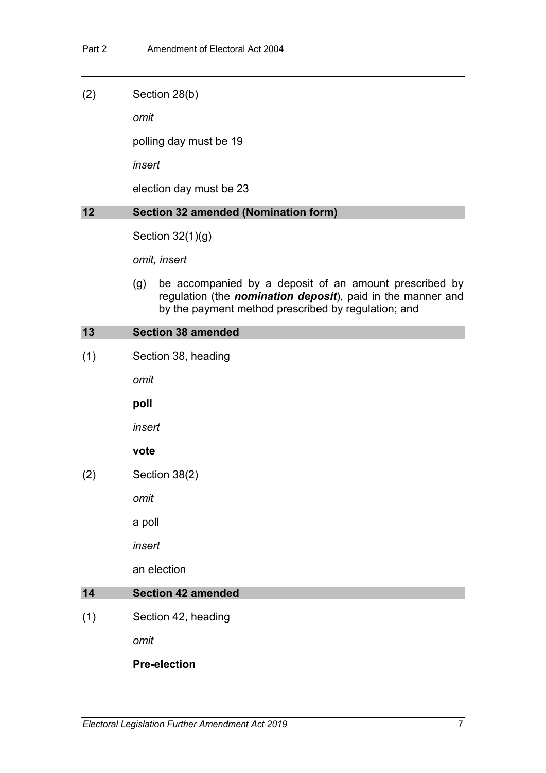(2) Section 28(b)

*omit*

polling day must be 19

*insert*

election day must be 23

## **12 Section 32 amended (Nomination form)**

Section 32(1)(g)

*omit, insert*

(g) be accompanied by a deposit of an amount prescribed by regulation (the *nomination deposit*), paid in the manner and by the payment method prescribed by regulation; and

### **13 Section 38 amended**

(1) Section 38, heading

*omit*

**poll**

*insert*

## **vote**

(2) Section 38(2)

*omit*

a poll

*insert*

an election

## **14 Section 42 amended**

(1) Section 42, heading

*omit*

## **Pre-election**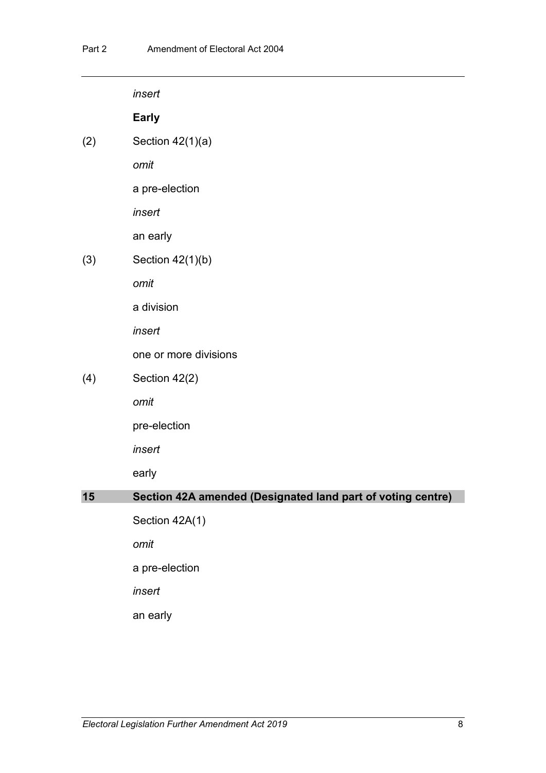|     | insert                                                      |
|-----|-------------------------------------------------------------|
|     | <b>Early</b>                                                |
| (2) | Section $42(1)(a)$                                          |
|     | omit                                                        |
|     | a pre-election                                              |
|     | insert                                                      |
|     | an early                                                    |
| (3) | Section 42(1)(b)                                            |
|     | omit                                                        |
|     | a division                                                  |
|     | insert                                                      |
|     | one or more divisions                                       |
| (4) | Section 42(2)                                               |
|     | omit                                                        |
|     | pre-election                                                |
|     | insert                                                      |
|     | early                                                       |
| 15  | Section 42A amended (Designated land part of voting centre) |
|     | Section 42A(1)                                              |
|     | omit                                                        |
|     | a pre-election                                              |
|     | insert                                                      |
|     | an early                                                    |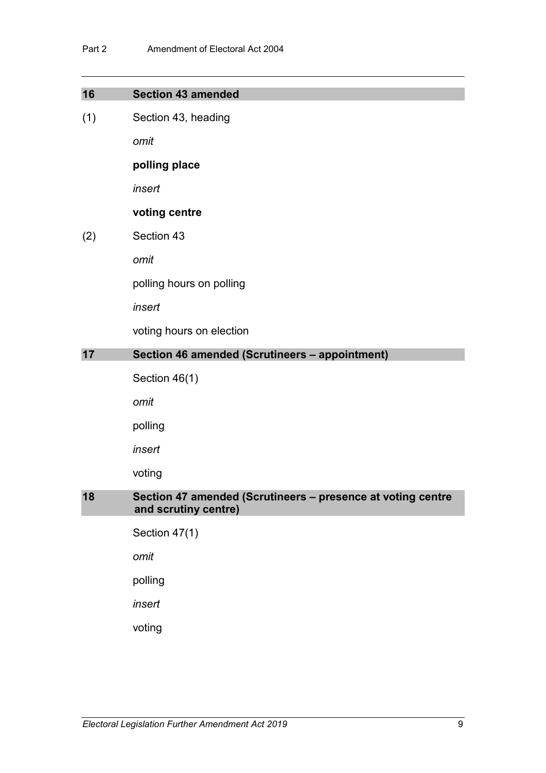| 16  | <b>Section 43 amended</b>                                                           |
|-----|-------------------------------------------------------------------------------------|
| (1) | Section 43, heading                                                                 |
|     | omit                                                                                |
|     | polling place                                                                       |
|     | insert                                                                              |
|     | voting centre                                                                       |
| (2) | Section 43                                                                          |
|     | omit                                                                                |
|     | polling hours on polling                                                            |
|     | insert                                                                              |
|     | voting hours on election                                                            |
| 17  | Section 46 amended (Scrutineers - appointment)                                      |
|     | Section 46(1)                                                                       |
|     | omit                                                                                |
|     | polling                                                                             |
|     | insert                                                                              |
|     | voting                                                                              |
| 18  | Section 47 amended (Scrutineers - presence at voting centre<br>and scrutiny centre) |
|     | Section 47(1)                                                                       |
|     | omit                                                                                |
|     | polling                                                                             |
|     | insert                                                                              |
|     | voting                                                                              |
|     |                                                                                     |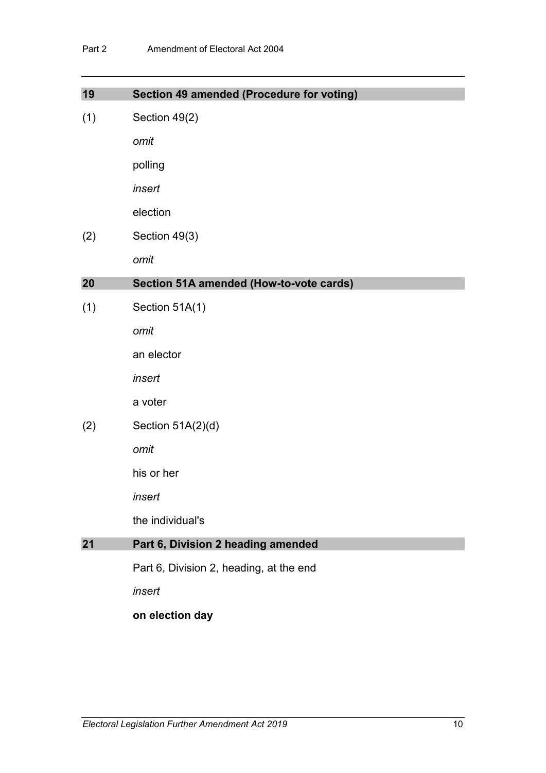| 19  | Section 49 amended (Procedure for voting) |
|-----|-------------------------------------------|
| (1) | Section 49(2)                             |
|     | omit                                      |
|     | polling                                   |
|     | insert                                    |
|     | election                                  |
|     |                                           |
| (2) | Section 49(3)                             |
|     | omit                                      |
| 20  | Section 51A amended (How-to-vote cards)   |
| (1) | Section 51A(1)                            |
|     | omit                                      |
|     | an elector                                |
|     | insert                                    |
|     | a voter                                   |
| (2) | Section 51A(2)(d)                         |
|     | omit                                      |
|     | his or her                                |
|     | insert                                    |
|     | the individual's                          |
| 21  | Part 6, Division 2 heading amended        |
|     | Part 6, Division 2, heading, at the end   |
|     | insert                                    |
|     | on election day                           |
|     |                                           |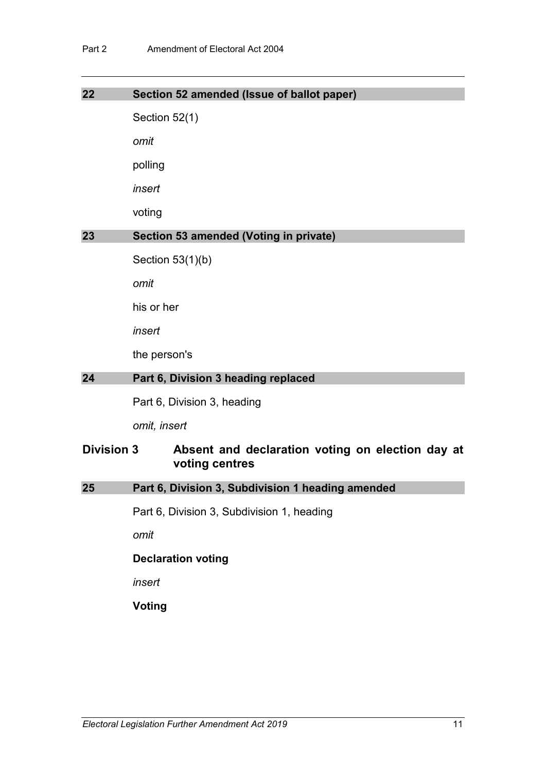| 22                |               | Section 52 amended (Issue of ballot paper)                         |
|-------------------|---------------|--------------------------------------------------------------------|
|                   | Section 52(1) |                                                                    |
|                   | omit          |                                                                    |
|                   | polling       |                                                                    |
|                   | insert        |                                                                    |
|                   | voting        |                                                                    |
| 23                |               | Section 53 amended (Voting in private)                             |
|                   |               | Section $53(1)(b)$                                                 |
|                   | omit          |                                                                    |
|                   | his or her    |                                                                    |
|                   | insert        |                                                                    |
|                   | the person's  |                                                                    |
| 24                |               | Part 6, Division 3 heading replaced                                |
|                   |               | Part 6, Division 3, heading                                        |
|                   | omit, insert  |                                                                    |
| <b>Division 3</b> |               | Absent and declaration voting on election day at<br>voting centres |
| 25                |               | Part 6, Division 3, Subdivision 1 heading amended                  |
|                   |               | Part 6, Division 3, Subdivision 1, heading                         |
|                   | omit          |                                                                    |
|                   |               | <b>Declaration voting</b>                                          |
|                   | insert        |                                                                    |
|                   | <b>Voting</b> |                                                                    |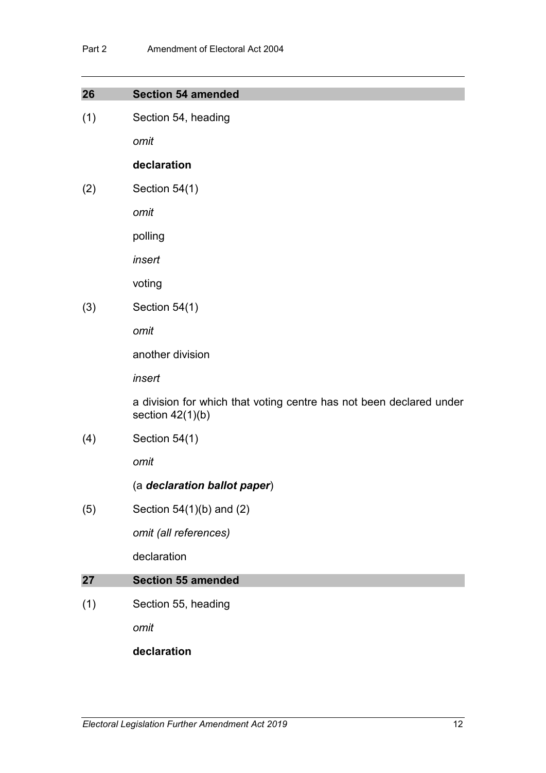| 26  | <b>Section 54 amended</b>                                                                 |
|-----|-------------------------------------------------------------------------------------------|
| (1) | Section 54, heading                                                                       |
|     | omit                                                                                      |
|     | declaration                                                                               |
| (2) | Section 54(1)                                                                             |
|     | omit                                                                                      |
|     | polling                                                                                   |
|     | insert                                                                                    |
|     | voting                                                                                    |
| (3) | Section 54(1)                                                                             |
|     | omit                                                                                      |
|     | another division                                                                          |
|     | insert                                                                                    |
|     | a division for which that voting centre has not been declared under<br>section $42(1)(b)$ |
| (4) | Section 54(1)                                                                             |
|     | omit                                                                                      |
|     | (a declaration ballot paper)                                                              |
| (5) | Section $54(1)(b)$ and $(2)$                                                              |
|     | omit (all references)                                                                     |
|     | declaration                                                                               |
| 27  | <b>Section 55 amended</b>                                                                 |
| (1) | Section 55, heading                                                                       |
|     | omit                                                                                      |

**declaration**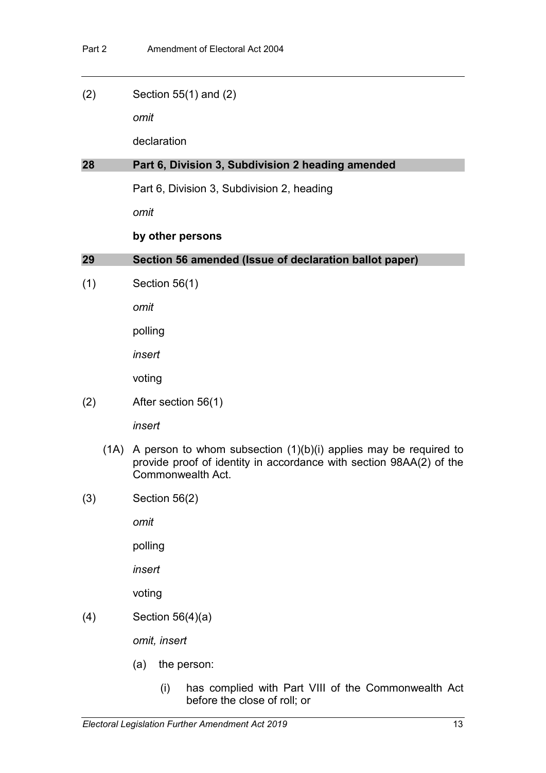(2) Section 55(1) and (2)

*omit*

declaration

## **28 Part 6, Division 3, Subdivision 2 heading amended**

Part 6, Division 3, Subdivision 2, heading

*omit*

## **by other persons**

**29 Section 56 amended (Issue of declaration ballot paper)**

(1) Section 56(1)

*omit*

polling

*insert*

voting

(2) After section 56(1)

*insert*

- (1A) A person to whom subsection  $(1)(b)(i)$  applies may be required to provide proof of identity in accordance with section 98AA(2) of the Commonwealth Act.
- (3) Section 56(2)

*omit*

polling

*insert*

voting

(4) Section 56(4)(a)

*omit, insert*

- (a) the person:
	- (i) has complied with Part VIII of the Commonwealth Act before the close of roll; or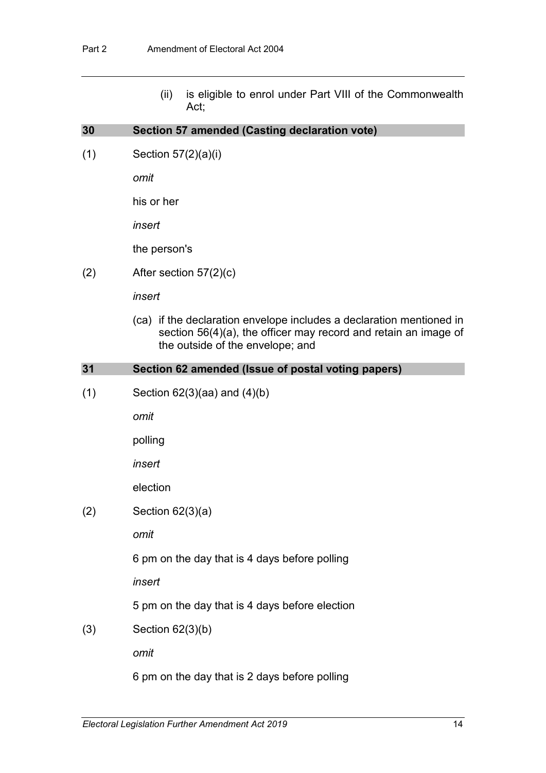(ii) is eligible to enrol under Part VIII of the Commonwealth Act;

| 30  | Section 57 amended (Casting declaration vote)                                                                                                                               |
|-----|-----------------------------------------------------------------------------------------------------------------------------------------------------------------------------|
| (1) | Section $57(2)(a)(i)$                                                                                                                                                       |
|     | omit                                                                                                                                                                        |
|     | his or her                                                                                                                                                                  |
|     | insert                                                                                                                                                                      |
|     | the person's                                                                                                                                                                |
| (2) | After section $57(2)(c)$                                                                                                                                                    |
|     | insert                                                                                                                                                                      |
|     | (ca) if the declaration envelope includes a declaration mentioned in<br>section 56(4)(a), the officer may record and retain an image of<br>the outside of the envelope; and |
| 31  | Section 62 amended (Issue of postal voting papers)                                                                                                                          |
| (1) | Section $62(3)(aa)$ and $(4)(b)$                                                                                                                                            |
|     | omit                                                                                                                                                                        |
|     | polling                                                                                                                                                                     |
|     | insert                                                                                                                                                                      |
|     | election                                                                                                                                                                    |
| (2) | Section $62(3)(a)$                                                                                                                                                          |
|     | omit                                                                                                                                                                        |
|     | 6 pm on the day that is 4 days before polling                                                                                                                               |
|     | insert                                                                                                                                                                      |
|     | 5 pm on the day that is 4 days before election                                                                                                                              |
| (3) | Section $62(3)(b)$                                                                                                                                                          |
|     | omit                                                                                                                                                                        |
|     | 6 pm on the day that is 2 days before polling                                                                                                                               |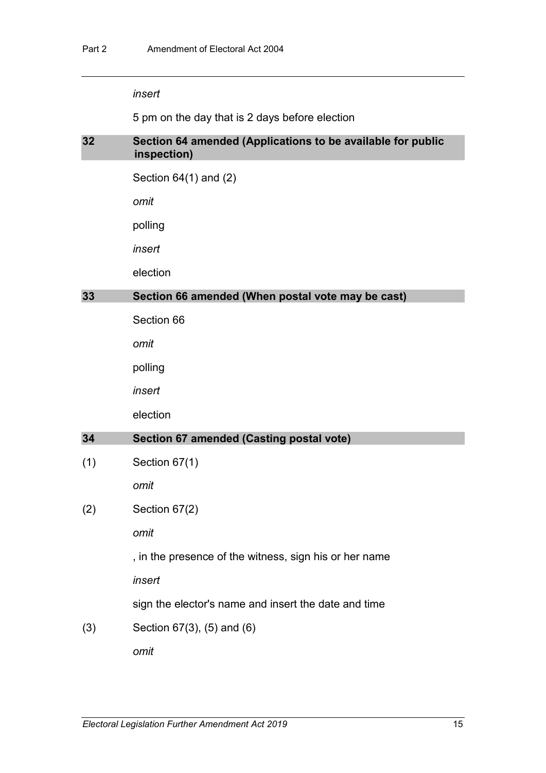5 pm on the day that is 2 days before election

## **32 Section 64 amended (Applications to be available for public inspection)**

Section 64(1) and (2)

*omit*

polling

*insert*

election

### **33 Section 66 amended (When postal vote may be cast)**

Section 66

*omit*

polling

*insert*

election

#### **34 Section 67 amended (Casting postal vote)**

(1) Section 67(1)

*omit*

(2) Section 67(2)

*omit*

, in the presence of the witness, sign his or her name

*insert*

sign the elector's name and insert the date and time

(3) Section 67(3), (5) and (6)

*omit*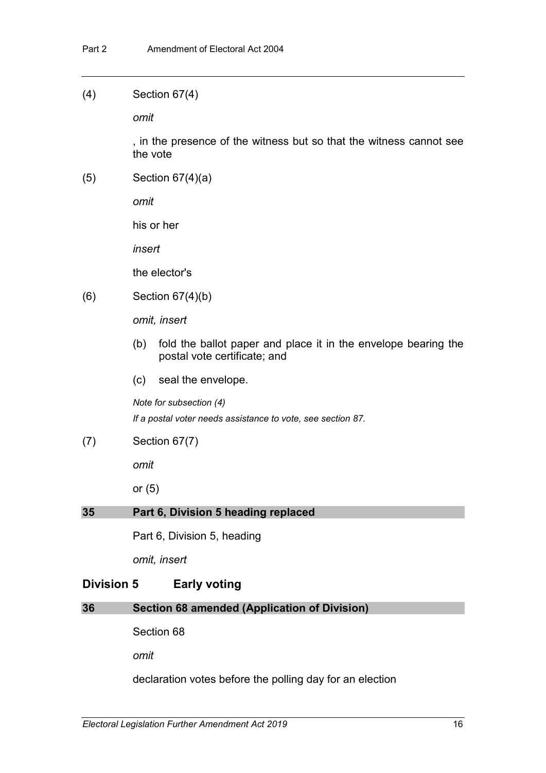#### (4) Section 67(4)

*omit*

, in the presence of the witness but so that the witness cannot see the vote

(5) Section 67(4)(a)

*omit*

his or her

*insert*

the elector's

(6) Section 67(4)(b)

*omit, insert*

- (b) fold the ballot paper and place it in the envelope bearing the postal vote certificate; and
- (c) seal the envelope.

*Note for subsection (4)*

*If a postal voter needs assistance to vote, see section 87.*

(7) Section 67(7)

*omit*

or (5)

## **35 Part 6, Division 5 heading replaced**

Part 6, Division 5, heading

*omit, insert*

## **Division 5 Early voting**

## **36 Section 68 amended (Application of Division)**

Section 68

*omit*

declaration votes before the polling day for an election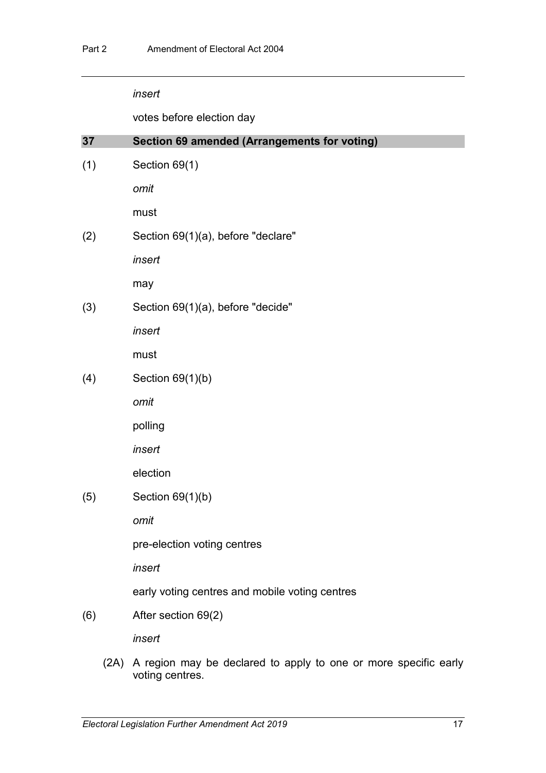votes before election day

| 37  | Section 69 amended (Arrangements for voting)   |
|-----|------------------------------------------------|
| (1) | Section 69(1)                                  |
|     | omit                                           |
|     | must                                           |
| (2) | Section 69(1)(a), before "declare"             |
|     | insert                                         |
|     | may                                            |
| (3) | Section 69(1)(a), before "decide"              |
|     | insert                                         |
|     | must                                           |
| (4) | Section $69(1)(b)$                             |
|     | omit                                           |
|     | polling                                        |
|     | insert                                         |
|     | election                                       |
| (5) | Section $69(1)(b)$                             |
|     | omit                                           |
|     | pre-election voting centres                    |
|     | insert                                         |
|     | early voting centres and mobile voting centres |
| (6) | After section 69(2)                            |
|     | insert                                         |
|     |                                                |

(2A) A region may be declared to apply to one or more specific early voting centres.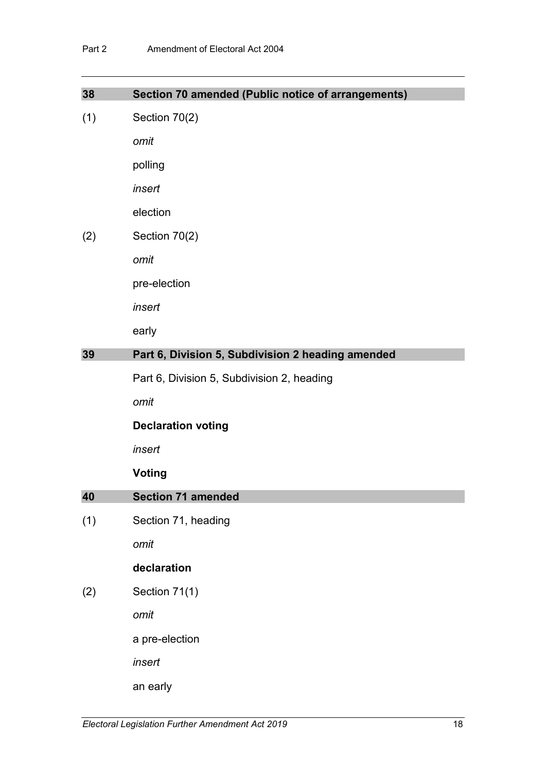| 38  | Section 70 amended (Public notice of arrangements) |
|-----|----------------------------------------------------|
| (1) | Section 70(2)                                      |
|     | omit                                               |
|     | polling                                            |
|     | insert                                             |
|     | election                                           |
| (2) | Section 70(2)                                      |
|     | omit                                               |
|     | pre-election                                       |
|     | insert                                             |
|     | early                                              |
| 39  | Part 6, Division 5, Subdivision 2 heading amended  |
|     | Part 6, Division 5, Subdivision 2, heading         |
|     | omit                                               |
|     | <b>Declaration voting</b>                          |
|     | insert                                             |
|     | <b>Voting</b>                                      |
| 40  | <b>Section 71 amended</b>                          |
| (1) | Section 71, heading                                |
|     | omit                                               |
|     | declaration                                        |
| (2) | Section 71(1)                                      |
|     | omit                                               |
|     | a pre-election                                     |
|     | insert                                             |
|     |                                                    |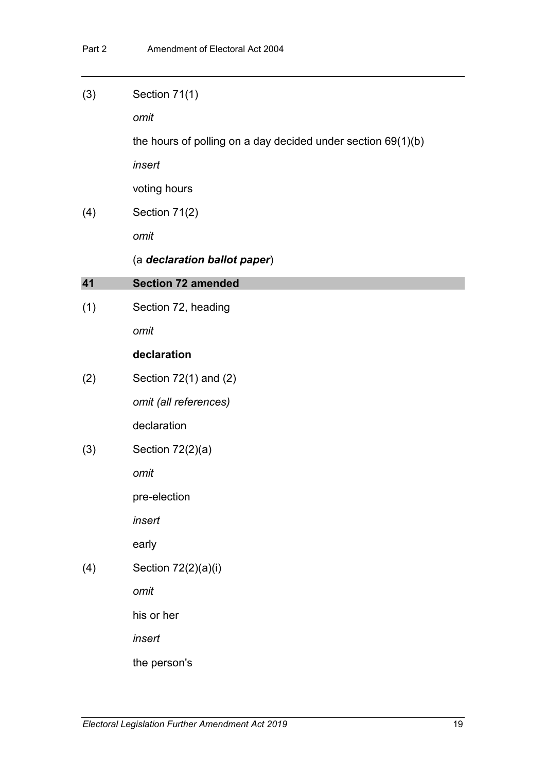| (3) | Section 71(1)                                                  |
|-----|----------------------------------------------------------------|
|     | omit                                                           |
|     | the hours of polling on a day decided under section $69(1)(b)$ |
|     | insert                                                         |
|     | voting hours                                                   |
| (4) | Section 71(2)                                                  |
|     | omit                                                           |
|     | (a declaration ballot paper)                                   |
| 41  | <b>Section 72 amended</b>                                      |
| (1) | Section 72, heading                                            |
|     | omit                                                           |
|     | declaration                                                    |
| (2) | Section $72(1)$ and $(2)$                                      |
|     | omit (all references)                                          |
|     | declaration                                                    |
| (3) | Section 72(2)(a)                                               |
|     | omit                                                           |
|     | pre-election                                                   |
|     | insert                                                         |
|     | early                                                          |
| (4) | Section 72(2)(a)(i)                                            |
|     | omit                                                           |
|     | his or her                                                     |
|     | insert                                                         |
|     | the person's                                                   |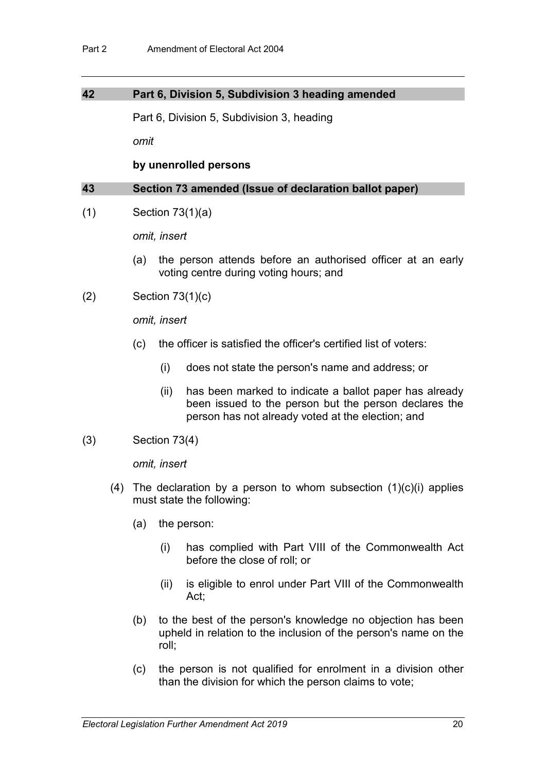### **42 Part 6, Division 5, Subdivision 3 heading amended**

Part 6, Division 5, Subdivision 3, heading

*omit*

**by unenrolled persons**

#### **43 Section 73 amended (Issue of declaration ballot paper)**

(1) Section 73(1)(a)

*omit, insert*

- (a) the person attends before an authorised officer at an early voting centre during voting hours; and
- (2) Section 73(1)(c)

*omit, insert*

- (c) the officer is satisfied the officer's certified list of voters:
	- (i) does not state the person's name and address; or
	- (ii) has been marked to indicate a ballot paper has already been issued to the person but the person declares the person has not already voted at the election; and
- (3) Section 73(4)

*omit, insert*

- (4) The declaration by a person to whom subsection  $(1)(c)(i)$  applies must state the following:
	- (a) the person:
		- (i) has complied with Part VIII of the Commonwealth Act before the close of roll; or
		- (ii) is eligible to enrol under Part VIII of the Commonwealth Act;
	- (b) to the best of the person's knowledge no objection has been upheld in relation to the inclusion of the person's name on the roll;
	- (c) the person is not qualified for enrolment in a division other than the division for which the person claims to vote;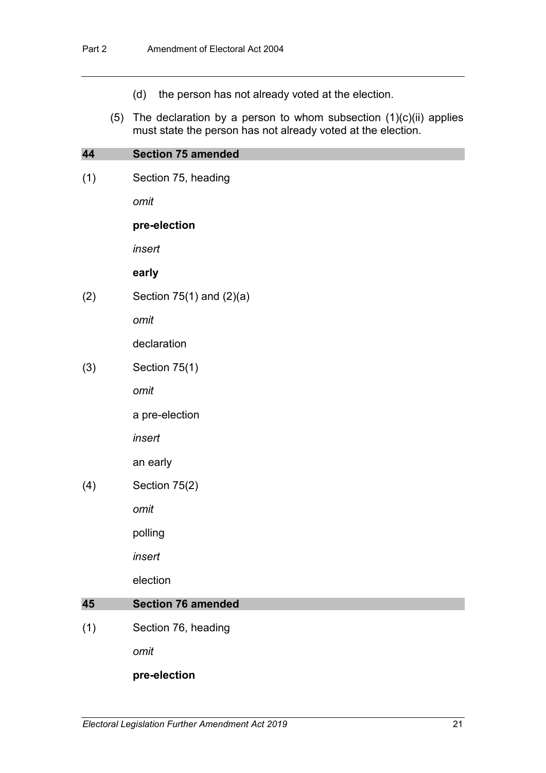- (d) the person has not already voted at the election.
- (5) The declaration by a person to whom subsection  $(1)(c)(ii)$  applies must state the person has not already voted at the election.

## **44 Section 75 amended**

(1) Section 75, heading

*omit*

#### **pre-election**

*insert*

#### **early**

 $(2)$  Section 75(1) and  $(2)(a)$ 

*omit*

declaration

(3) Section 75(1)

*omit*

a pre-election

*insert*

an early

(4) Section 75(2)

*omit*

polling

*insert*

election

### **45 Section 76 amended**

(1) Section 76, heading

*omit*

#### **pre-election**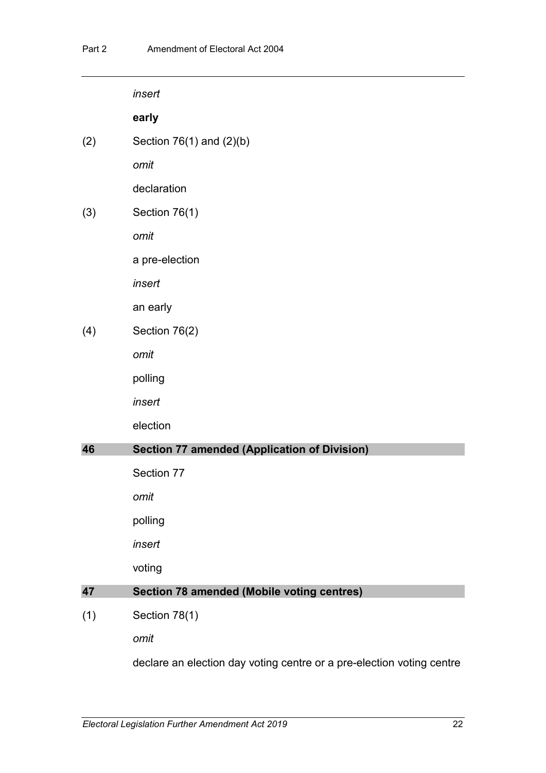|     | insert                                              |
|-----|-----------------------------------------------------|
|     | early                                               |
| (2) | Section $76(1)$ and $(2)(b)$                        |
|     | omit                                                |
|     | declaration                                         |
| (3) | Section 76(1)                                       |
|     | omit                                                |
|     | a pre-election                                      |
|     | insert                                              |
|     | an early                                            |
| (4) | Section 76(2)                                       |
|     | omit                                                |
|     | polling                                             |
|     | insert                                              |
|     | election                                            |
| 46  | <b>Section 77 amended (Application of Division)</b> |
|     | Section 77                                          |
|     | omit                                                |
|     | polling                                             |
|     | insert                                              |
|     | voting                                              |
| 47  | <b>Section 78 amended (Mobile voting centres)</b>   |
| (1) | Section 78(1)                                       |
|     | omit                                                |

declare an election day voting centre or a pre-election voting centre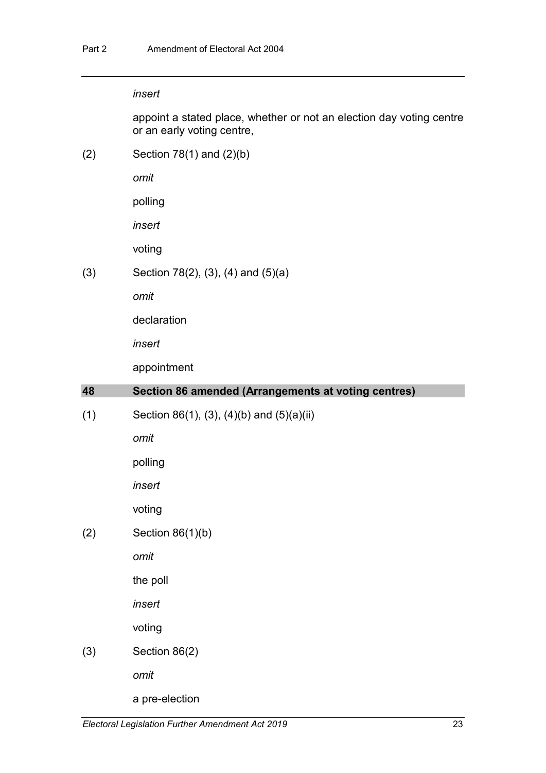appoint a stated place, whether or not an election day voting centre or an early voting centre,

(2) Section 78(1) and (2)(b)

*omit*

polling

*insert*

voting

(3) Section 78(2), (3), (4) and (5)(a)

*omit*

declaration

*insert*

appointment

| 48  | Section 86 amended (Arrangements at voting centres) |
|-----|-----------------------------------------------------|
| (1) | Section 86(1), (3), (4)(b) and $(5)(a)(ii)$         |
|     | omit                                                |
|     | polling                                             |
|     | insert                                              |
|     | voting                                              |
| (2) | Section $86(1)(b)$                                  |
|     | omit                                                |
|     | the poll                                            |
|     | insert                                              |
|     | voting                                              |
| (3) | Section 86(2)                                       |
|     | omit                                                |
|     | a pre-election                                      |
|     |                                                     |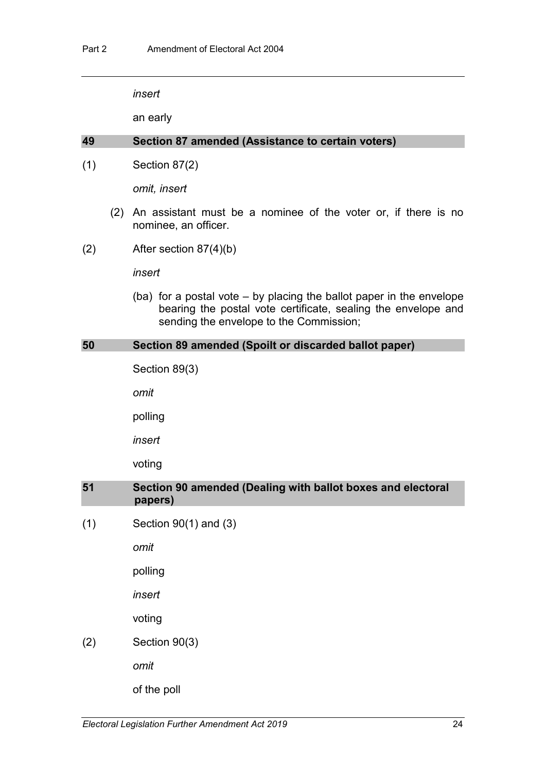an early

### **49 Section 87 amended (Assistance to certain voters)**

(1) Section 87(2)

*omit, insert*

- (2) An assistant must be a nominee of the voter or, if there is no nominee, an officer.
- (2) After section 87(4)(b)

*insert*

(ba) for a postal vote – by placing the ballot paper in the envelope bearing the postal vote certificate, sealing the envelope and sending the envelope to the Commission;

#### **50 Section 89 amended (Spoilt or discarded ballot paper)**

Section 89(3)

*omit*

polling

*insert*

voting

## **51 Section 90 amended (Dealing with ballot boxes and electoral papers)**

(1) Section 90(1) and (3)

*omit*

polling

*insert*

voting

(2) Section 90(3)

*omit*

of the poll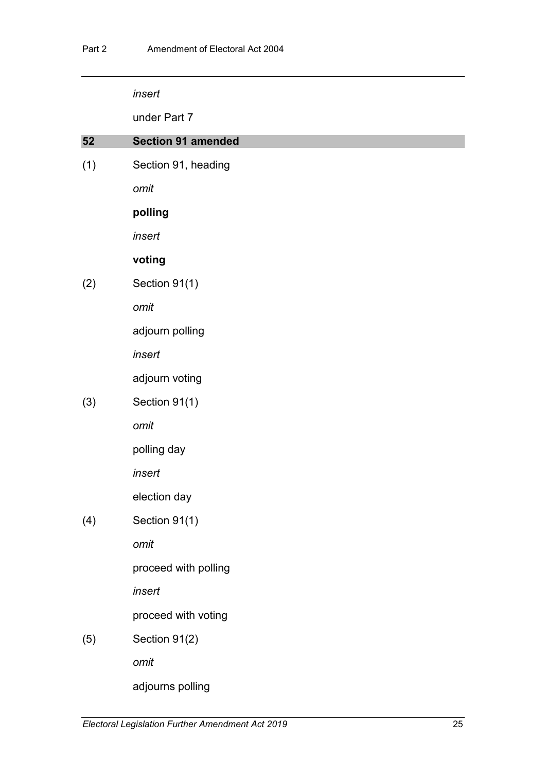under Part 7

| 52  | <b>Section 91 amended</b> |
|-----|---------------------------|
| (1) | Section 91, heading       |
|     | omit                      |
|     | polling                   |
|     | insert                    |
|     | voting                    |
| (2) | Section 91(1)             |
|     | omit                      |
|     | adjourn polling           |
|     | insert                    |
|     | adjourn voting            |
| (3) | Section 91(1)             |
|     | omit                      |
|     | polling day               |
|     | insert                    |
|     | election day              |
| (4) | Section 91(1)             |
|     | omit                      |
|     | proceed with polling      |
|     | insert                    |
|     | proceed with voting       |
| (5) | Section 91(2)             |
|     | omit                      |
|     | adjourns polling          |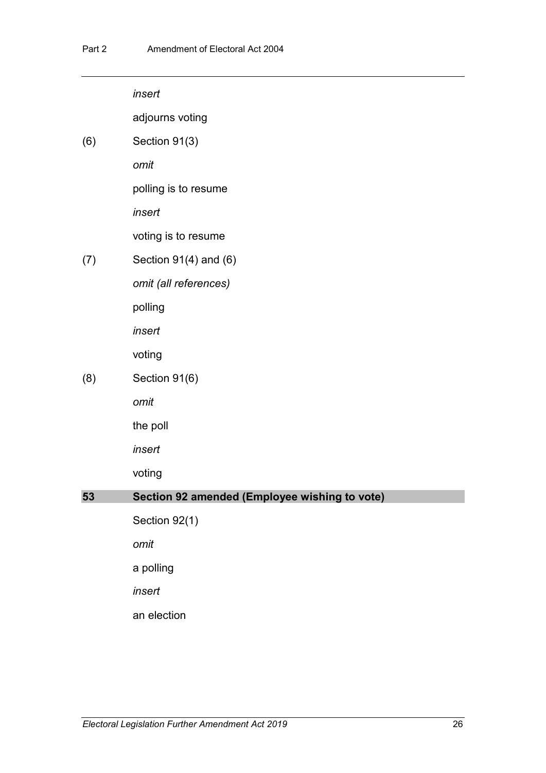|     | insert                                        |
|-----|-----------------------------------------------|
|     | adjourns voting                               |
| (6) | Section 91(3)                                 |
|     | omit                                          |
|     | polling is to resume                          |
|     | insert                                        |
|     | voting is to resume                           |
| (7) | Section $91(4)$ and $(6)$                     |
|     | omit (all references)                         |
|     | polling                                       |
|     | insert                                        |
|     | voting                                        |
| (8) | Section 91(6)                                 |
|     | omit                                          |
|     | the poll                                      |
|     | insert                                        |
|     | voting                                        |
| 53  | Section 92 amended (Employee wishing to vote) |
|     | Section 92(1)                                 |
|     | omit                                          |
|     | a polling                                     |
|     | insert                                        |
|     | an election                                   |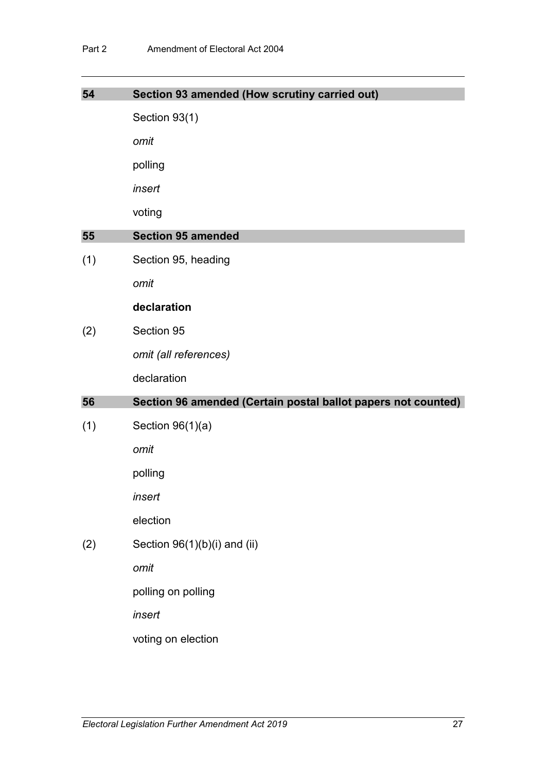| 54  | Section 93 amended (How scrutiny carried out)                 |
|-----|---------------------------------------------------------------|
|     | Section 93(1)                                                 |
|     | omit                                                          |
|     | polling                                                       |
|     | insert                                                        |
|     | voting                                                        |
| 55  | <b>Section 95 amended</b>                                     |
| (1) | Section 95, heading                                           |
|     | omit                                                          |
|     | declaration                                                   |
| (2) | Section 95                                                    |
|     | omit (all references)                                         |
|     | declaration                                                   |
| 56  | Section 96 amended (Certain postal ballot papers not counted) |
| (1) | Section $96(1)(a)$                                            |
|     | omit                                                          |
|     | polling                                                       |
|     | insert                                                        |
|     | election                                                      |
| (2) | Section 96(1)(b)(i) and (ii)                                  |
|     | omit                                                          |
|     | polling on polling                                            |
|     | insert                                                        |
|     |                                                               |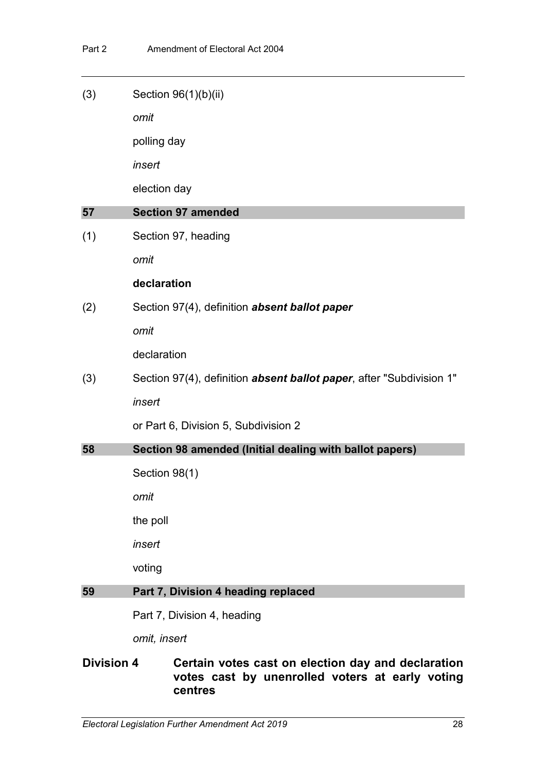|     | omit, insert                                                                 |
|-----|------------------------------------------------------------------------------|
|     | Part 7, Division 4, heading                                                  |
| 59  | Part 7, Division 4 heading replaced                                          |
|     | voting                                                                       |
|     | insert                                                                       |
|     | the poll                                                                     |
|     | omit                                                                         |
|     | Section 98(1)                                                                |
| 58  | Section 98 amended (Initial dealing with ballot papers)                      |
|     | or Part 6, Division 5, Subdivision 2                                         |
|     | insert                                                                       |
| (3) | Section 97(4), definition <i>absent ballot paper</i> , after "Subdivision 1" |
|     | declaration                                                                  |
|     | omit                                                                         |
| (2) | Section 97(4), definition absent ballot paper                                |
|     | declaration                                                                  |
|     | omit                                                                         |
| (1) | Section 97, heading                                                          |
| 57  | <b>Section 97 amended</b>                                                    |
|     | election day                                                                 |
|     | insert                                                                       |
|     | polling day                                                                  |
|     | omit                                                                         |
| (3) | Section 96(1)(b)(ii)                                                         |

## **Division 4 Certain votes cast on election day and declaration votes cast by unenrolled voters at early voting centres**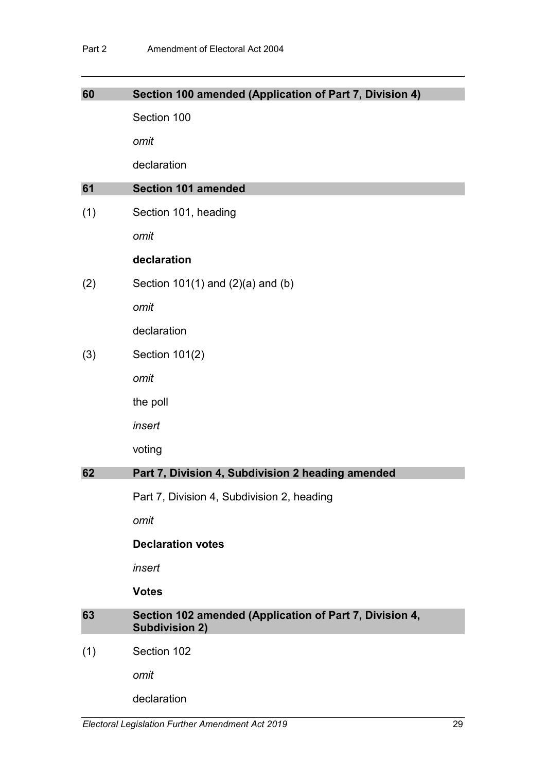| 60  | Section 100 amended (Application of Part 7, Division 4)                          |
|-----|----------------------------------------------------------------------------------|
|     | Section 100                                                                      |
|     | omit                                                                             |
|     | declaration                                                                      |
| 61  | <b>Section 101 amended</b>                                                       |
| (1) | Section 101, heading                                                             |
|     | omit                                                                             |
|     | declaration                                                                      |
| (2) | Section $101(1)$ and $(2)(a)$ and $(b)$                                          |
|     | omit                                                                             |
|     | declaration                                                                      |
| (3) | Section 101(2)                                                                   |
|     | omit                                                                             |
|     | the poll                                                                         |
|     | insert                                                                           |
|     | voting                                                                           |
| 62  | Part 7, Division 4, Subdivision 2 heading amended                                |
|     | Part 7, Division 4, Subdivision 2, heading                                       |
|     | omit                                                                             |
|     | <b>Declaration votes</b>                                                         |
|     | insert                                                                           |
|     | <b>Votes</b>                                                                     |
| 63  | Section 102 amended (Application of Part 7, Division 4,<br><b>Subdivision 2)</b> |
| (1) | Section 102                                                                      |
|     | omit                                                                             |
|     | declaration                                                                      |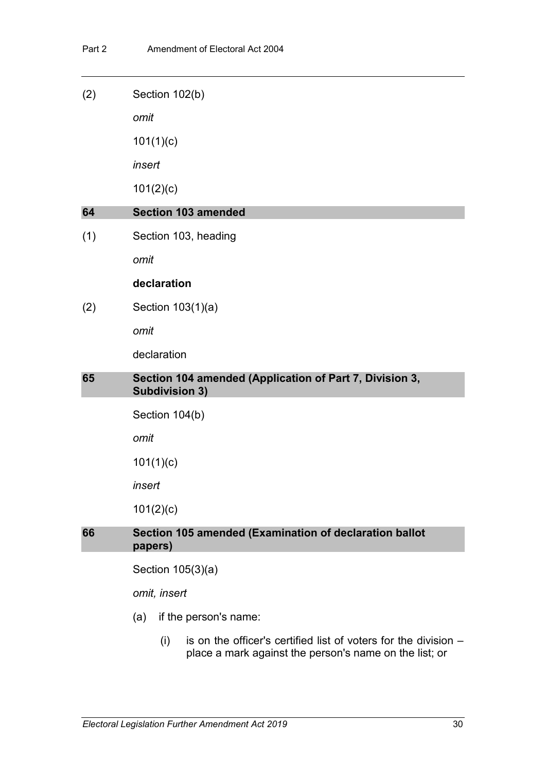| (2) | Section 102(b)                                                                   |
|-----|----------------------------------------------------------------------------------|
|     | omit                                                                             |
|     | 101(1)(c)                                                                        |
|     | insert                                                                           |
|     | 101(2)(c)                                                                        |
| 64  | <b>Section 103 amended</b>                                                       |
| (1) | Section 103, heading                                                             |
|     | omit                                                                             |
|     | declaration                                                                      |
| (2) | Section 103(1)(a)                                                                |
|     | omit                                                                             |
|     | declaration                                                                      |
| 65  | Section 104 amended (Application of Part 7, Division 3,<br><b>Subdivision 3)</b> |
|     | Section 104(b)                                                                   |
|     | omit                                                                             |
|     | 101(1)(c)                                                                        |
|     | insert                                                                           |
|     | 101(2)(c)                                                                        |
| 66  | Section 105 amended (Examination of declaration ballot<br>papers)                |
|     | Section 105(3)(a)                                                                |
|     | omit, insert                                                                     |
|     | if the person's name:<br>(a)                                                     |

(i) is on the officer's certified list of voters for the division  $$ place a mark against the person's name on the list; or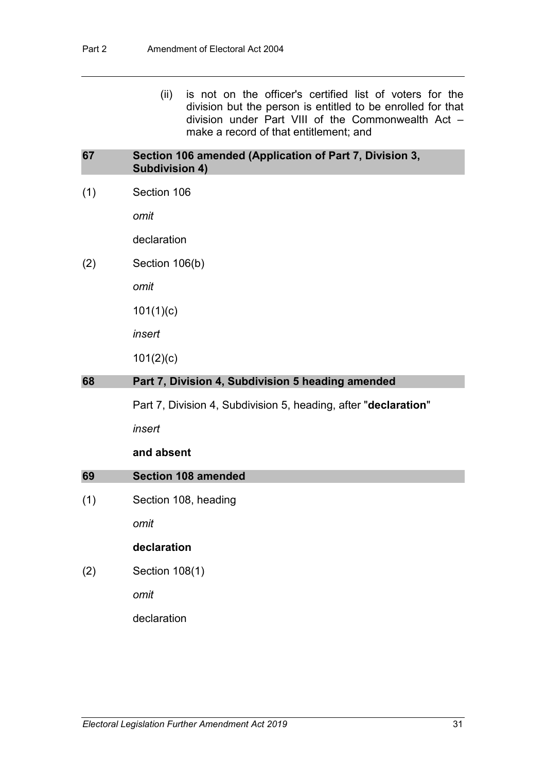(ii) is not on the officer's certified list of voters for the division but the person is entitled to be enrolled for that division under Part VIII of the Commonwealth Act – make a record of that entitlement; and

### **67 Section 106 amended (Application of Part 7, Division 3, Subdivision 4)**

(1) Section 106

*omit*

declaration

(2) Section 106(b)

*omit*

101(1)(c)

*insert*

101(2)(c)

### **68 Part 7, Division 4, Subdivision 5 heading amended**

Part 7, Division 4, Subdivision 5, heading, after "**declaration**"

*insert*

#### **and absent**

## **69 Section 108 amended**

(1) Section 108, heading

*omit*

## **declaration**

(2) Section 108(1)

*omit*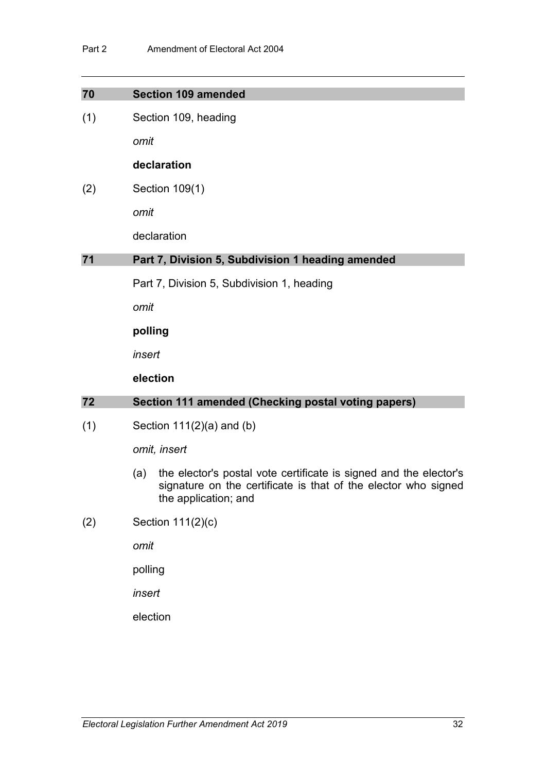| 70  | <b>Section 109 amended</b>                                                                                                                                         |
|-----|--------------------------------------------------------------------------------------------------------------------------------------------------------------------|
| (1) | Section 109, heading                                                                                                                                               |
|     | omit                                                                                                                                                               |
|     | declaration                                                                                                                                                        |
| (2) | Section 109(1)                                                                                                                                                     |
|     | omit                                                                                                                                                               |
|     | declaration                                                                                                                                                        |
| 71  | Part 7, Division 5, Subdivision 1 heading amended                                                                                                                  |
|     | Part 7, Division 5, Subdivision 1, heading                                                                                                                         |
|     | omit                                                                                                                                                               |
|     | polling                                                                                                                                                            |
|     | insert                                                                                                                                                             |
|     | election                                                                                                                                                           |
| 72  | Section 111 amended (Checking postal voting papers)                                                                                                                |
| (1) | Section $111(2)(a)$ and (b)                                                                                                                                        |
|     | omit, insert                                                                                                                                                       |
|     | the elector's postal vote certificate is signed and the elector's<br>(a)<br>signature on the certificate is that of the elector who signed<br>the application; and |
| (2) | Section 111(2)(c)                                                                                                                                                  |

*omit*

polling

*insert*

election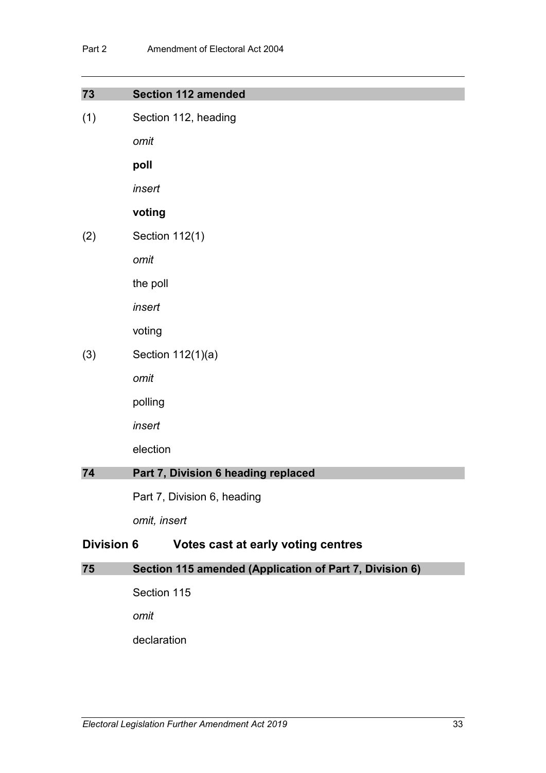| 73                | <b>Section 112 amended</b>                              |
|-------------------|---------------------------------------------------------|
| (1)               | Section 112, heading                                    |
|                   | omit                                                    |
|                   | poll                                                    |
|                   | insert                                                  |
|                   | voting                                                  |
| (2)               | Section 112(1)                                          |
|                   | omit                                                    |
|                   | the poll                                                |
|                   | insert                                                  |
|                   | voting                                                  |
| (3)               | Section 112(1)(a)                                       |
|                   | omit                                                    |
|                   | polling                                                 |
|                   | insert                                                  |
|                   | election                                                |
| 74                | Part 7, Division 6 heading replaced                     |
|                   | Part 7, Division 6, heading                             |
|                   | omit, insert                                            |
| <b>Division 6</b> | Votes cast at early voting centres                      |
| 75                | Section 115 amended (Application of Part 7, Division 6) |
|                   | Section 115                                             |
|                   | omit                                                    |
|                   | declaration                                             |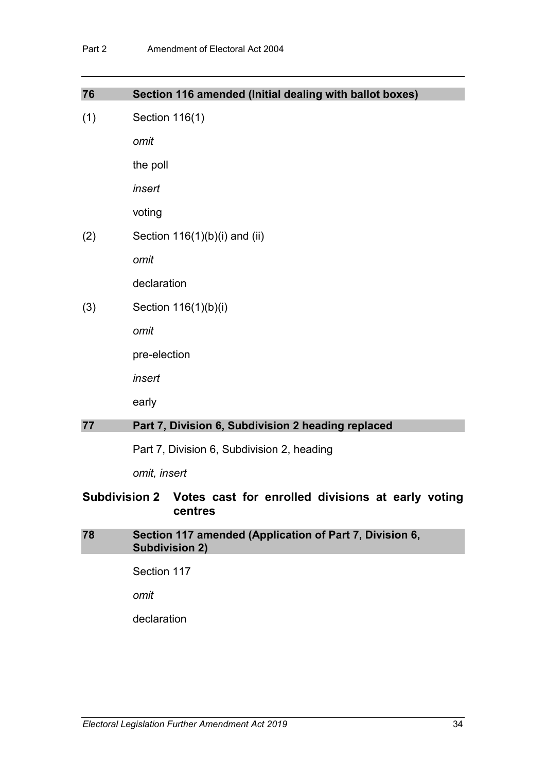| 76                                                              | Section 116 amended (Initial dealing with ballot boxes) |
|-----------------------------------------------------------------|---------------------------------------------------------|
| (1)                                                             | Section 116(1)                                          |
|                                                                 | omit                                                    |
|                                                                 | the poll                                                |
|                                                                 | insert                                                  |
|                                                                 | voting                                                  |
| (2)                                                             | Section $116(1)(b)(i)$ and (ii)                         |
|                                                                 | omit                                                    |
|                                                                 | declaration                                             |
| (3)                                                             | Section 116(1)(b)(i)                                    |
|                                                                 | omit                                                    |
|                                                                 | pre-election                                            |
|                                                                 | insert                                                  |
|                                                                 | early                                                   |
| 77                                                              | Part 7, Division 6, Subdivision 2 heading replaced      |
|                                                                 | Part 7, Division 6, Subdivision 2, heading              |
|                                                                 | omit, insert                                            |
| Subdivision 2 Votes cast for enrolled divisions at early voting |                                                         |

## **Subdivision 2 Votes cast for enrolled divisions at early voting centres**

## **78 Section 117 amended (Application of Part 7, Division 6, Subdivision 2)**

Section 117

*omit*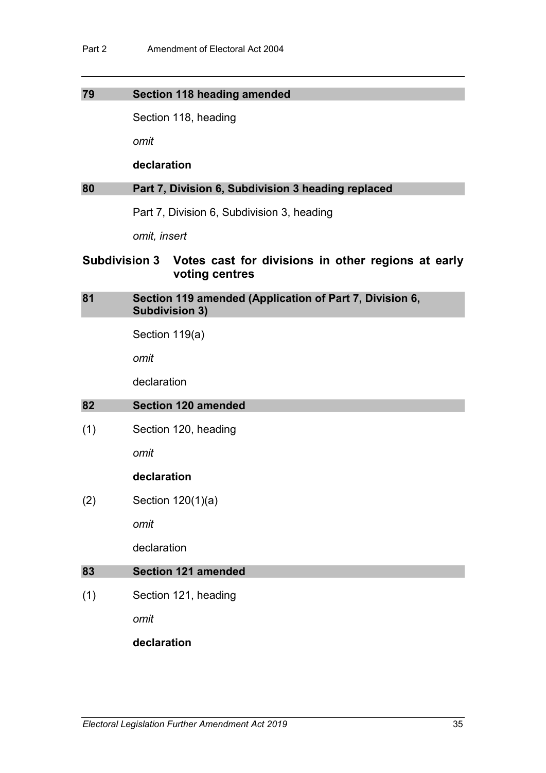#### **79 Section 118 heading amended**

Section 118, heading

*omit*

#### **declaration**

### **80 Part 7, Division 6, Subdivision 3 heading replaced**

Part 7, Division 6, Subdivision 3, heading

*omit, insert*

## **Subdivision 3 Votes cast for divisions in other regions at early voting centres**

## **81 Section 119 amended (Application of Part 7, Division 6, Subdivision 3)**

Section 119(a)

*omit*

declaration

#### **82 Section 120 amended**

(1) Section 120, heading

*omit*

#### **declaration**

(2) Section 120(1)(a)

*omit*

declaration

### **83 Section 121 amended**

(1) Section 121, heading

*omit*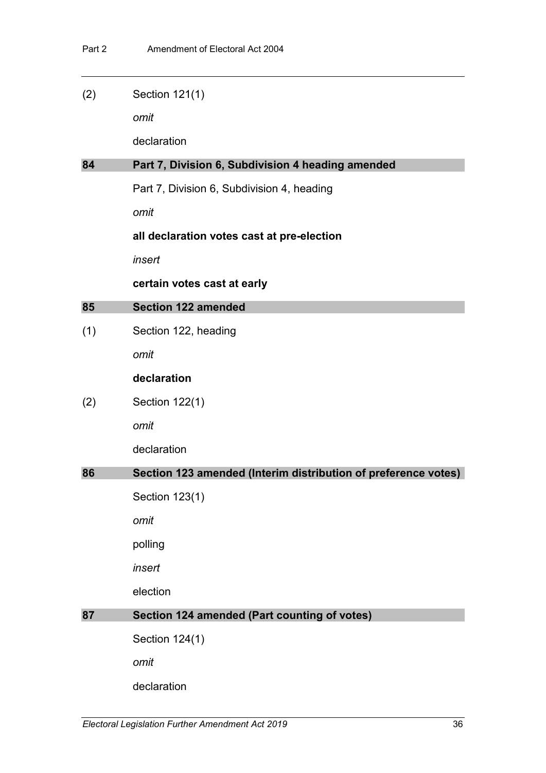| (2) | Section 121(1) |
|-----|----------------|
|-----|----------------|

*omit*

declaration

#### **84 Part 7, Division 6, Subdivision 4 heading amended**

Part 7, Division 6, Subdivision 4, heading

*omit*

### **all declaration votes cast at pre-election**

*insert*

### **certain votes cast at early**

### **85 Section 122 amended**

(1) Section 122, heading

*omit*

## **declaration**

(2) Section 122(1)

*omit*

declaration

## **86 Section 123 amended (Interim distribution of preference votes)**

Section 123(1)

*omit*

polling

*insert*

election

## **87 Section 124 amended (Part counting of votes)**

Section 124(1)

*omit*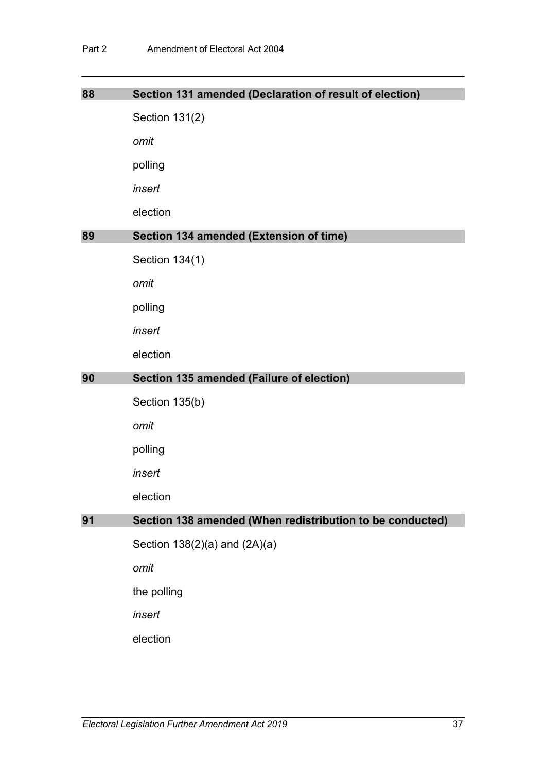| 88 | Section 131 amended (Declaration of result of election)   |
|----|-----------------------------------------------------------|
|    | Section 131(2)                                            |
|    | omit                                                      |
|    | polling                                                   |
|    | insert                                                    |
|    | election                                                  |
| 89 | Section 134 amended (Extension of time)                   |
|    | Section 134(1)                                            |
|    | omit                                                      |
|    | polling                                                   |
|    | insert                                                    |
|    | election                                                  |
|    |                                                           |
| 90 | Section 135 amended (Failure of election)                 |
|    | Section 135(b)                                            |
|    | omit                                                      |
|    | polling                                                   |
|    | insert                                                    |
|    | election                                                  |
| 91 | Section 138 amended (When redistribution to be conducted) |
|    | Section 138(2)(a) and (2A)(a)                             |
|    | omit                                                      |
|    | the polling                                               |
|    | insert                                                    |
|    | election                                                  |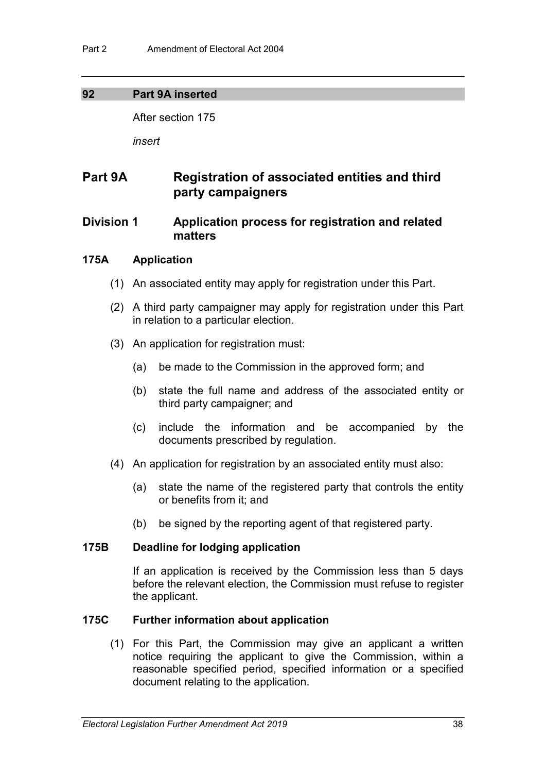## **92 Part 9A inserted**

After section 175

*insert*

# **Part 9A Registration of associated entities and third party campaigners**

## **Division 1 Application process for registration and related matters**

## **175A Application**

- (1) An associated entity may apply for registration under this Part.
- (2) A third party campaigner may apply for registration under this Part in relation to a particular election.
- (3) An application for registration must:
	- (a) be made to the Commission in the approved form; and
	- (b) state the full name and address of the associated entity or third party campaigner; and
	- (c) include the information and be accompanied by the documents prescribed by regulation.
- (4) An application for registration by an associated entity must also:
	- (a) state the name of the registered party that controls the entity or benefits from it; and
	- (b) be signed by the reporting agent of that registered party.

## **175B Deadline for lodging application**

If an application is received by the Commission less than 5 days before the relevant election, the Commission must refuse to register the applicant.

## **175C Further information about application**

(1) For this Part, the Commission may give an applicant a written notice requiring the applicant to give the Commission, within a reasonable specified period, specified information or a specified document relating to the application.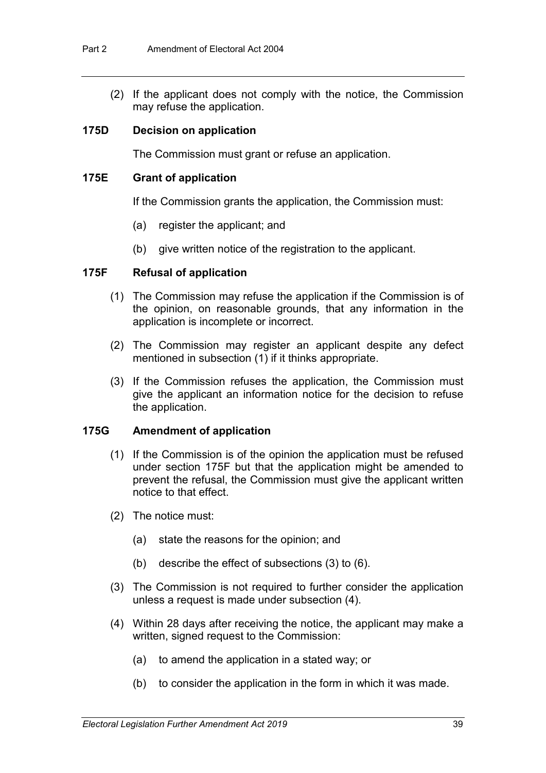(2) If the applicant does not comply with the notice, the Commission may refuse the application.

### **175D Decision on application**

The Commission must grant or refuse an application.

### **175E Grant of application**

If the Commission grants the application, the Commission must:

- (a) register the applicant; and
- (b) give written notice of the registration to the applicant.

### **175F Refusal of application**

- (1) The Commission may refuse the application if the Commission is of the opinion, on reasonable grounds, that any information in the application is incomplete or incorrect.
- (2) The Commission may register an applicant despite any defect mentioned in subsection (1) if it thinks appropriate.
- (3) If the Commission refuses the application, the Commission must give the applicant an information notice for the decision to refuse the application.

## **175G Amendment of application**

- (1) If the Commission is of the opinion the application must be refused under section 175F but that the application might be amended to prevent the refusal, the Commission must give the applicant written notice to that effect.
- (2) The notice must:
	- (a) state the reasons for the opinion; and
	- (b) describe the effect of subsections (3) to (6).
- (3) The Commission is not required to further consider the application unless a request is made under subsection (4).
- (4) Within 28 days after receiving the notice, the applicant may make a written, signed request to the Commission:
	- (a) to amend the application in a stated way; or
	- (b) to consider the application in the form in which it was made.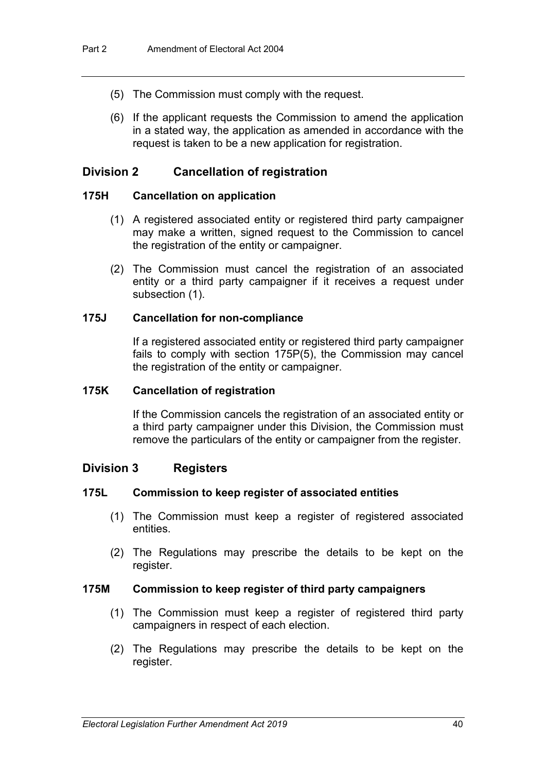- (5) The Commission must comply with the request.
- (6) If the applicant requests the Commission to amend the application in a stated way, the application as amended in accordance with the request is taken to be a new application for registration.

## **Division 2 Cancellation of registration**

### **175H Cancellation on application**

- (1) A registered associated entity or registered third party campaigner may make a written, signed request to the Commission to cancel the registration of the entity or campaigner.
- (2) The Commission must cancel the registration of an associated entity or a third party campaigner if it receives a request under subsection (1).

### **175J Cancellation for non-compliance**

If a registered associated entity or registered third party campaigner fails to comply with section 175P(5), the Commission may cancel the registration of the entity or campaigner.

#### **175K Cancellation of registration**

If the Commission cancels the registration of an associated entity or a third party campaigner under this Division, the Commission must remove the particulars of the entity or campaigner from the register.

## **Division 3 Registers**

#### **175L Commission to keep register of associated entities**

- (1) The Commission must keep a register of registered associated entities.
- (2) The Regulations may prescribe the details to be kept on the register.

#### **175M Commission to keep register of third party campaigners**

- (1) The Commission must keep a register of registered third party campaigners in respect of each election.
- (2) The Regulations may prescribe the details to be kept on the register.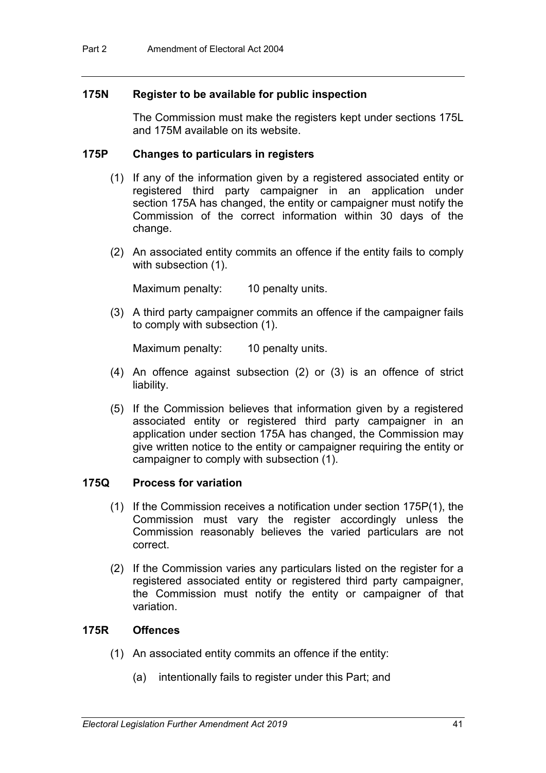### **175N Register to be available for public inspection**

The Commission must make the registers kept under sections 175L and 175M available on its website.

#### **175P Changes to particulars in registers**

- (1) If any of the information given by a registered associated entity or registered third party campaigner in an application under section 175A has changed, the entity or campaigner must notify the Commission of the correct information within 30 days of the change.
- (2) An associated entity commits an offence if the entity fails to comply with subsection (1).

Maximum penalty: 10 penalty units.

(3) A third party campaigner commits an offence if the campaigner fails to comply with subsection (1).

Maximum penalty: 10 penalty units.

- (4) An offence against subsection (2) or (3) is an offence of strict liability.
- (5) If the Commission believes that information given by a registered associated entity or registered third party campaigner in an application under section 175A has changed, the Commission may give written notice to the entity or campaigner requiring the entity or campaigner to comply with subsection (1).

## **175Q Process for variation**

- (1) If the Commission receives a notification under section 175P(1), the Commission must vary the register accordingly unless the Commission reasonably believes the varied particulars are not correct.
- (2) If the Commission varies any particulars listed on the register for a registered associated entity or registered third party campaigner, the Commission must notify the entity or campaigner of that variation.

### **175R Offences**

- (1) An associated entity commits an offence if the entity:
	- (a) intentionally fails to register under this Part; and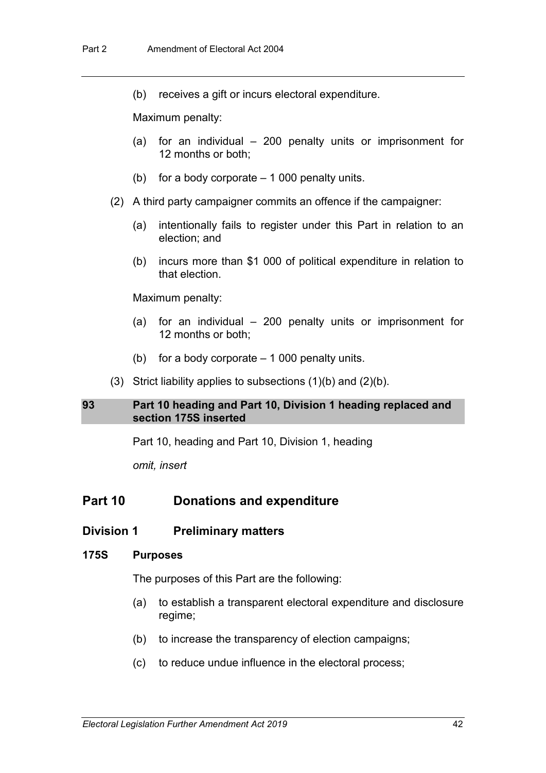(b) receives a gift or incurs electoral expenditure.

Maximum penalty:

- (a) for an individual 200 penalty units or imprisonment for 12 months or both;
- (b) for a body corporate  $-1000$  penalty units.
- (2) A third party campaigner commits an offence if the campaigner:
	- (a) intentionally fails to register under this Part in relation to an election; and
	- (b) incurs more than \$1 000 of political expenditure in relation to that election.

Maximum penalty:

- (a) for an individual 200 penalty units or imprisonment for 12 months or both;
- (b) for a body corporate  $-1000$  penalty units.
- (3) Strict liability applies to subsections  $(1)(b)$  and  $(2)(b)$ .

#### **93 Part 10 heading and Part 10, Division 1 heading replaced and section 175S inserted**

Part 10, heading and Part 10, Division 1, heading

*omit, insert*

## **Part 10 Donations and expenditure**

#### **Division 1 Preliminary matters**

#### **175S Purposes**

The purposes of this Part are the following:

- (a) to establish a transparent electoral expenditure and disclosure regime;
- (b) to increase the transparency of election campaigns;
- (c) to reduce undue influence in the electoral process;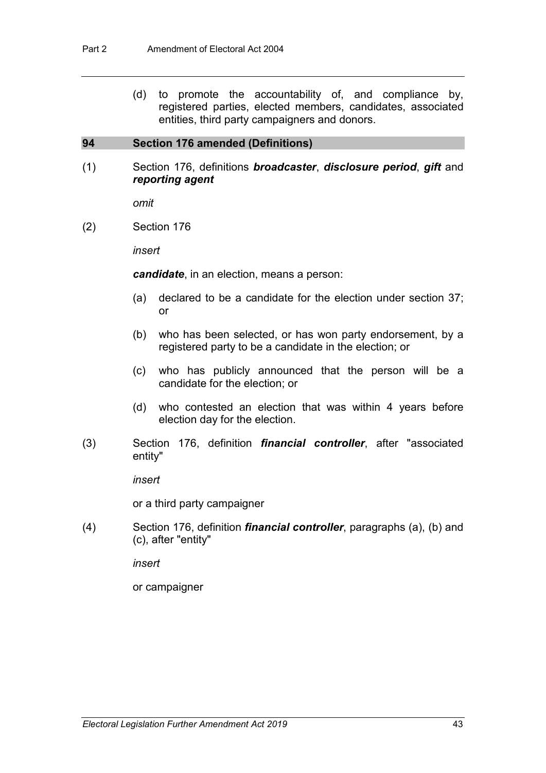(d) to promote the accountability of, and compliance by, registered parties, elected members, candidates, associated entities, third party campaigners and donors.

#### **94 Section 176 amended (Definitions)**

(1) Section 176, definitions *broadcaster*, *disclosure period*, *gift* and *reporting agent*

*omit*

(2) Section 176

*insert*

*candidate*, in an election, means a person:

- (a) declared to be a candidate for the election under section 37; or
- (b) who has been selected, or has won party endorsement, by a registered party to be a candidate in the election; or
- (c) who has publicly announced that the person will be a candidate for the election; or
- (d) who contested an election that was within 4 years before election day for the election.
- (3) Section 176, definition *financial controller*, after "associated entity"

*insert*

or a third party campaigner

(4) Section 176, definition *financial controller*, paragraphs (a), (b) and (c), after "entity"

*insert*

or campaigner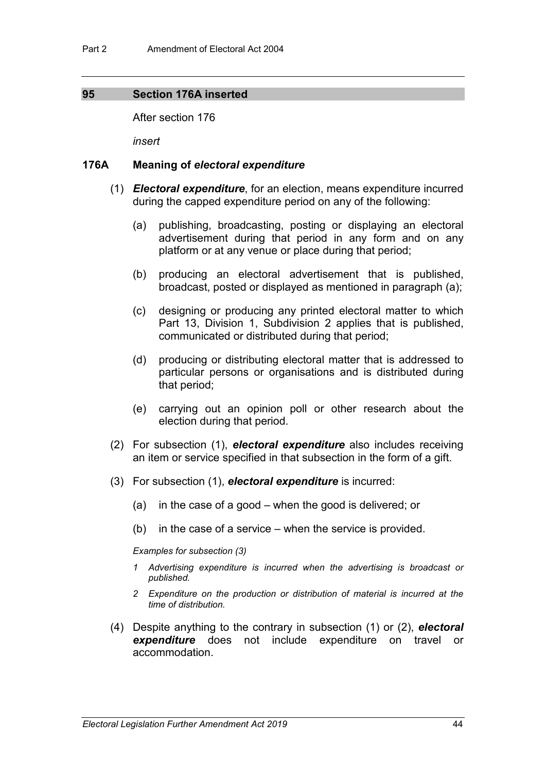### **95 Section 176A inserted**

After section 176

*insert*

#### **176A Meaning of** *electoral expenditure*

- (1) *Electoral expenditure*, for an election, means expenditure incurred during the capped expenditure period on any of the following:
	- (a) publishing, broadcasting, posting or displaying an electoral advertisement during that period in any form and on any platform or at any venue or place during that period;
	- (b) producing an electoral advertisement that is published, broadcast, posted or displayed as mentioned in paragraph (a);
	- (c) designing or producing any printed electoral matter to which Part 13, Division 1, Subdivision 2 applies that is published, communicated or distributed during that period;
	- (d) producing or distributing electoral matter that is addressed to particular persons or organisations and is distributed during that period;
	- (e) carrying out an opinion poll or other research about the election during that period.
- (2) For subsection (1), *electoral expenditure* also includes receiving an item or service specified in that subsection in the form of a gift.
- (3) For subsection (1), *electoral expenditure* is incurred:
	- (a) in the case of a good when the good is delivered; or
	- (b) in the case of a service when the service is provided.

*Examples for subsection (3)*

- *1 Advertising expenditure is incurred when the advertising is broadcast or published.*
- *2 Expenditure on the production or distribution of material is incurred at the time of distribution.*
- (4) Despite anything to the contrary in subsection (1) or (2), *electoral expenditure* does not include expenditure on travel or accommodation.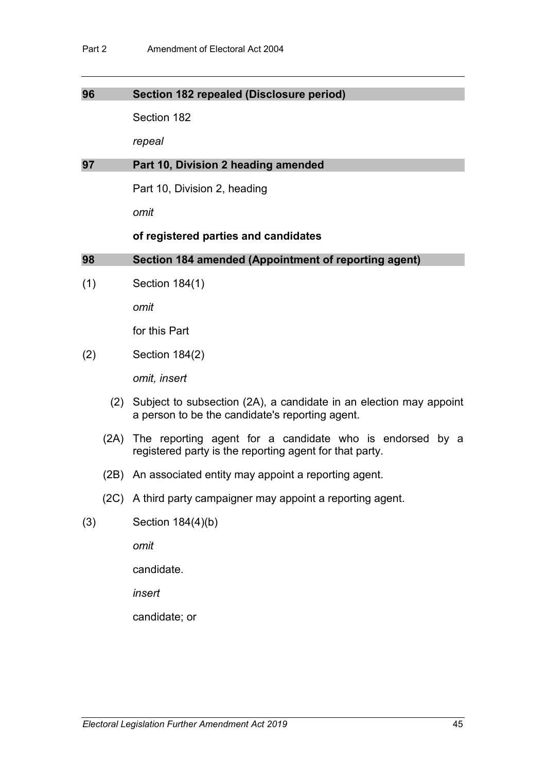### **96 Section 182 repealed (Disclosure period)**

Section 182

*repeal*

#### **97 Part 10, Division 2 heading amended**

Part 10, Division 2, heading

*omit*

#### **of registered parties and candidates**

### **98 Section 184 amended (Appointment of reporting agent)**

(1) Section 184(1)

*omit*

for this Part

(2) Section 184(2)

*omit, insert*

- (2) Subject to subsection (2A), a candidate in an election may appoint a person to be the candidate's reporting agent.
- (2A) The reporting agent for a candidate who is endorsed by a registered party is the reporting agent for that party.
- (2B) An associated entity may appoint a reporting agent.
- (2C) A third party campaigner may appoint a reporting agent.
- (3) Section 184(4)(b)

*omit*

candidate.

*insert*

candidate; or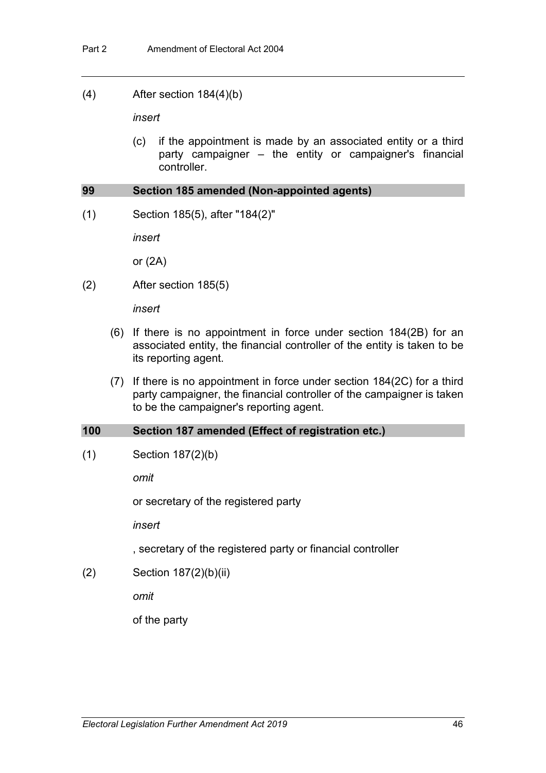(4) After section 184(4)(b)

*insert*

(c) if the appointment is made by an associated entity or a third party campaigner – the entity or campaigner's financial controller.

#### **99 Section 185 amended (Non-appointed agents)**

(1) Section 185(5), after "184(2)"

*insert*

or (2A)

(2) After section 185(5)

*insert*

- (6) If there is no appointment in force under section 184(2B) for an associated entity, the financial controller of the entity is taken to be its reporting agent.
- (7) If there is no appointment in force under section 184(2C) for a third party campaigner, the financial controller of the campaigner is taken to be the campaigner's reporting agent.

#### **100 Section 187 amended (Effect of registration etc.)**

(1) Section 187(2)(b)

*omit*

or secretary of the registered party

*insert*

, secretary of the registered party or financial controller

(2) Section 187(2)(b)(ii)

*omit*

of the party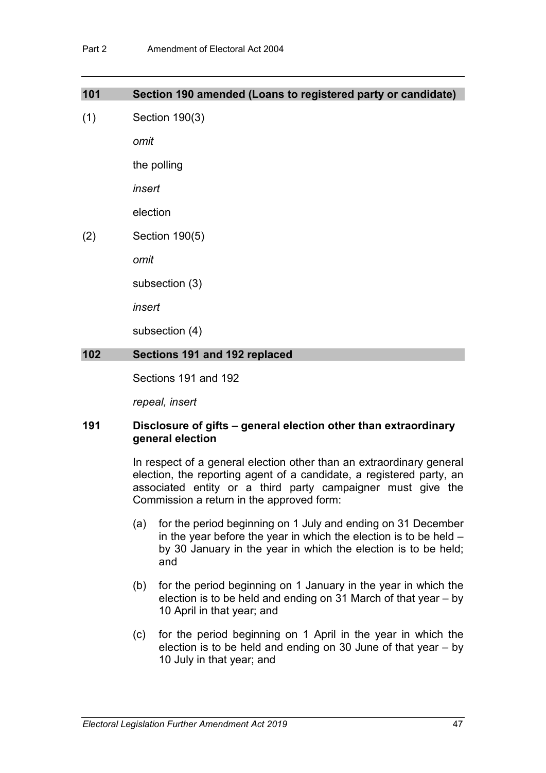| 101 | Section 190 amended (Loans to registered party or candidate) |
|-----|--------------------------------------------------------------|
| (1) | Section 190(3)                                               |
|     | omit                                                         |
|     | the polling                                                  |
|     | insert                                                       |
|     | election                                                     |
| (2) | Section 190(5)                                               |
|     | omit                                                         |
|     | subsection (3)                                               |
|     | insert                                                       |
|     | subsection (4)                                               |
| 102 | Sections 191 and 192 replaced                                |
|     |                                                              |

Sections 191 and 192

*repeal, insert*

## **191 Disclosure of gifts – general election other than extraordinary general election**

In respect of a general election other than an extraordinary general election, the reporting agent of a candidate, a registered party, an associated entity or a third party campaigner must give the Commission a return in the approved form:

- (a) for the period beginning on 1 July and ending on 31 December in the year before the year in which the election is to be held – by 30 January in the year in which the election is to be held; and
- (b) for the period beginning on 1 January in the year in which the election is to be held and ending on 31 March of that year – by 10 April in that year; and
- (c) for the period beginning on 1 April in the year in which the election is to be held and ending on 30 June of that year – by 10 July in that year; and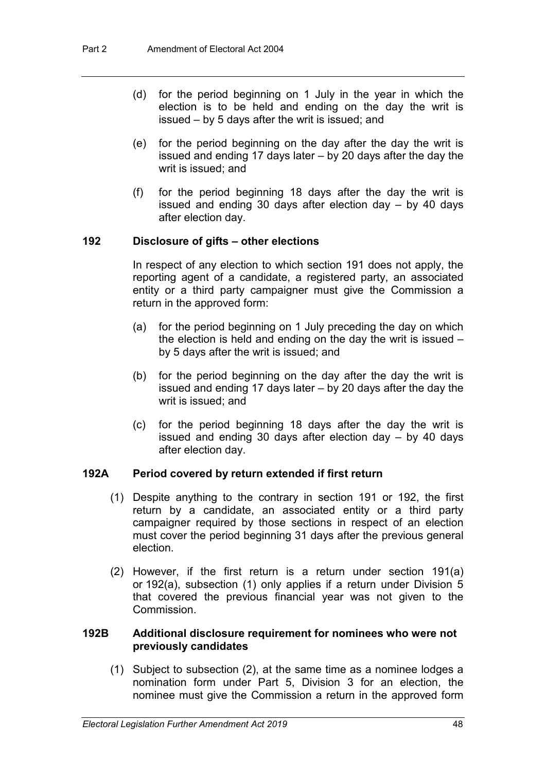- (d) for the period beginning on 1 July in the year in which the election is to be held and ending on the day the writ is issued – by 5 days after the writ is issued; and
- (e) for the period beginning on the day after the day the writ is issued and ending 17 days later – by 20 days after the day the writ is issued; and
- (f) for the period beginning 18 days after the day the writ is issued and ending 30 days after election day – by 40 days after election day.

## **192 Disclosure of gifts – other elections**

In respect of any election to which section 191 does not apply, the reporting agent of a candidate, a registered party, an associated entity or a third party campaigner must give the Commission a return in the approved form:

- (a) for the period beginning on 1 July preceding the day on which the election is held and ending on the day the writ is issued – by 5 days after the writ is issued; and
- (b) for the period beginning on the day after the day the writ is issued and ending 17 days later – by 20 days after the day the writ is issued; and
- (c) for the period beginning 18 days after the day the writ is issued and ending 30 days after election day – by 40 days after election day.

## **192A Period covered by return extended if first return**

- (1) Despite anything to the contrary in section 191 or 192, the first return by a candidate, an associated entity or a third party campaigner required by those sections in respect of an election must cover the period beginning 31 days after the previous general election.
- (2) However, if the first return is a return under section 191(a) or 192(a), subsection (1) only applies if a return under Division 5 that covered the previous financial year was not given to the **Commission**

## **192B Additional disclosure requirement for nominees who were not previously candidates**

(1) Subject to subsection (2), at the same time as a nominee lodges a nomination form under Part 5, Division 3 for an election, the nominee must give the Commission a return in the approved form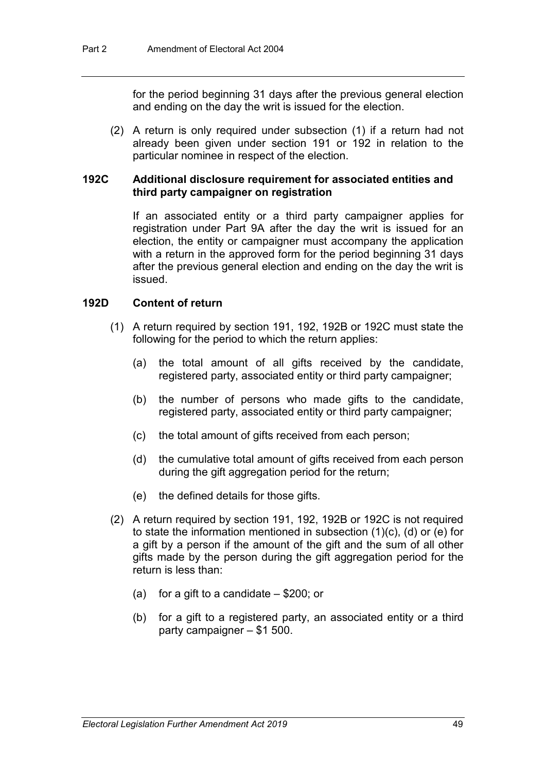for the period beginning 31 days after the previous general election and ending on the day the writ is issued for the election.

(2) A return is only required under subsection (1) if a return had not already been given under section 191 or 192 in relation to the particular nominee in respect of the election.

### **192C Additional disclosure requirement for associated entities and third party campaigner on registration**

If an associated entity or a third party campaigner applies for registration under Part 9A after the day the writ is issued for an election, the entity or campaigner must accompany the application with a return in the approved form for the period beginning 31 days after the previous general election and ending on the day the writ is issued.

### **192D Content of return**

- (1) A return required by section 191, 192, 192B or 192C must state the following for the period to which the return applies:
	- (a) the total amount of all gifts received by the candidate, registered party, associated entity or third party campaigner;
	- (b) the number of persons who made gifts to the candidate, registered party, associated entity or third party campaigner;
	- (c) the total amount of gifts received from each person;
	- (d) the cumulative total amount of gifts received from each person during the gift aggregation period for the return;
	- (e) the defined details for those gifts.
- (2) A return required by section 191, 192, 192B or 192C is not required to state the information mentioned in subsection (1)(c), (d) or (e) for a gift by a person if the amount of the gift and the sum of all other gifts made by the person during the gift aggregation period for the return is less than:
	- (a) for a gift to a candidate  $-$  \$200; or
	- (b) for a gift to a registered party, an associated entity or a third party campaigner – \$1 500.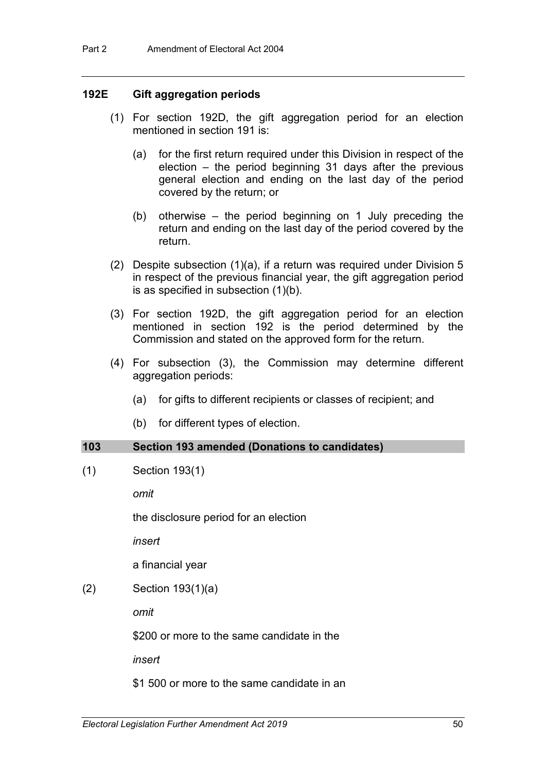#### **192E Gift aggregation periods**

- (1) For section 192D, the gift aggregation period for an election mentioned in section 191 is:
	- (a) for the first return required under this Division in respect of the election – the period beginning 31 days after the previous general election and ending on the last day of the period covered by the return; or
	- (b) otherwise the period beginning on 1 July preceding the return and ending on the last day of the period covered by the return.
- (2) Despite subsection (1)(a), if a return was required under Division 5 in respect of the previous financial year, the gift aggregation period is as specified in subsection (1)(b).
- (3) For section 192D, the gift aggregation period for an election mentioned in section 192 is the period determined by the Commission and stated on the approved form for the return.
- (4) For subsection (3), the Commission may determine different aggregation periods:
	- (a) for gifts to different recipients or classes of recipient; and
	- (b) for different types of election.

#### **103 Section 193 amended (Donations to candidates)**

(1) Section 193(1)

*omit*

the disclosure period for an election

*insert*

a financial year

(2) Section 193(1)(a)

*omit*

\$200 or more to the same candidate in the

*insert*

\$1 500 or more to the same candidate in an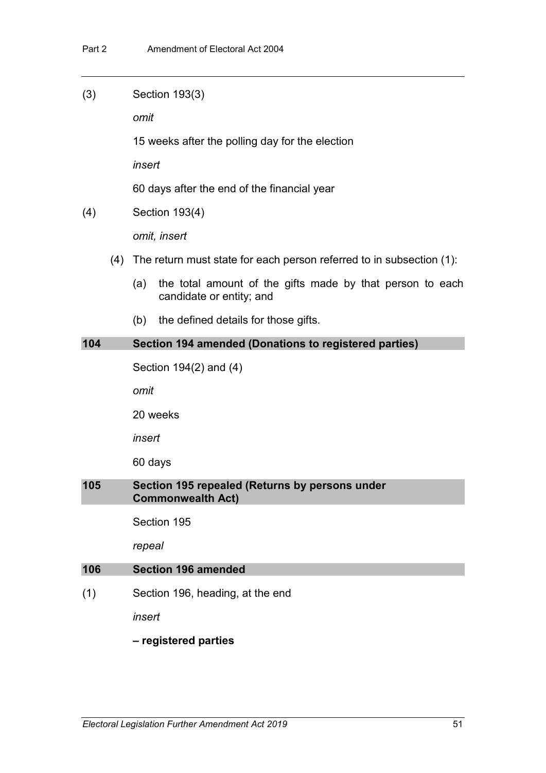(3) Section 193(3)

*omit*

15 weeks after the polling day for the election

*insert*

60 days after the end of the financial year

(4) Section 193(4)

*omit, insert*

- (4) The return must state for each person referred to in subsection (1):
	- (a) the total amount of the gifts made by that person to each candidate or entity; and
	- (b) the defined details for those gifts.

### **104 Section 194 amended (Donations to registered parties)**

Section 194(2) and (4)

*omit*

20 weeks

*insert*

60 days

## **105 Section 195 repealed (Returns by persons under Commonwealth Act)**

Section 195

*repeal*

#### **106 Section 196 amended**

(1) Section 196, heading, at the end

*insert*

#### **– registered parties**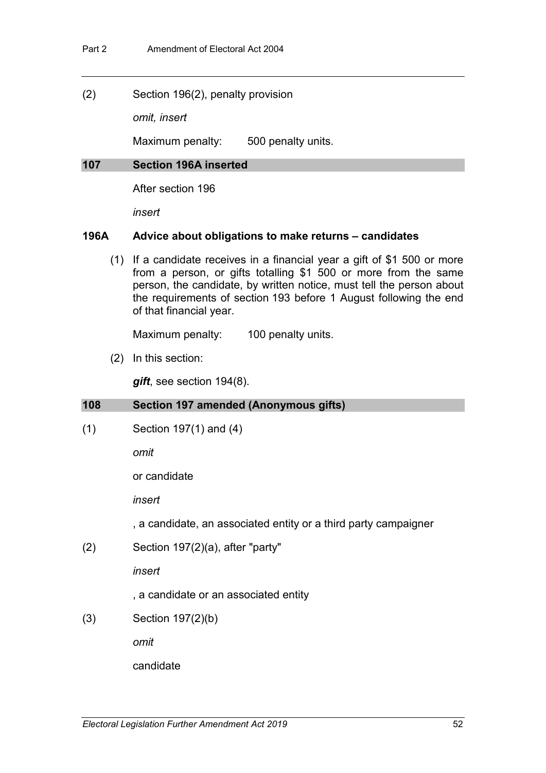(2) Section 196(2), penalty provision

*omit, insert*

Maximum penalty: 500 penalty units.

#### **107 Section 196A inserted**

After section 196

*insert*

## **196A Advice about obligations to make returns – candidates**

(1) If a candidate receives in a financial year a gift of \$1 500 or more from a person, or gifts totalling \$1 500 or more from the same person, the candidate, by written notice, must tell the person about the requirements of section 193 before 1 August following the end of that financial year.

Maximum penalty: 100 penalty units.

(2) In this section:

*gift*, see section 194(8).

## **108 Section 197 amended (Anonymous gifts)**

(1) Section 197(1) and (4)

*omit*

or candidate

*insert*

, a candidate, an associated entity or a third party campaigner

(2) Section 197(2)(a), after "party"

*insert*

, a candidate or an associated entity

(3) Section 197(2)(b)

*omit*

candidate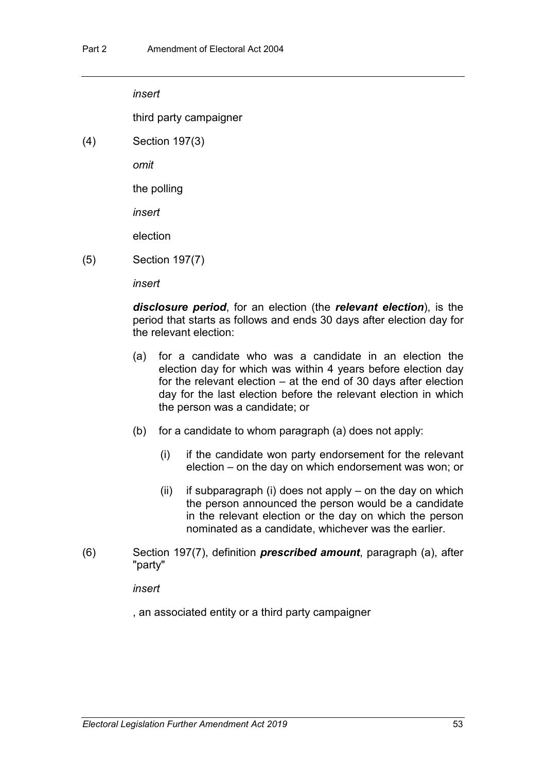*insert*

third party campaigner

(4) Section 197(3)

*omit*

the polling

*insert*

election

(5) Section 197(7)

*insert*

*disclosure period*, for an election (the *relevant election*), is the period that starts as follows and ends 30 days after election day for the relevant election:

- (a) for a candidate who was a candidate in an election the election day for which was within 4 years before election day for the relevant election – at the end of 30 days after election day for the last election before the relevant election in which the person was a candidate; or
- (b) for a candidate to whom paragraph (a) does not apply:
	- (i) if the candidate won party endorsement for the relevant election – on the day on which endorsement was won; or
	- (ii) if subparagraph (i) does not apply on the day on which the person announced the person would be a candidate in the relevant election or the day on which the person nominated as a candidate, whichever was the earlier.
- (6) Section 197(7), definition *prescribed amount*, paragraph (a), after "party"

*insert*

, an associated entity or a third party campaigner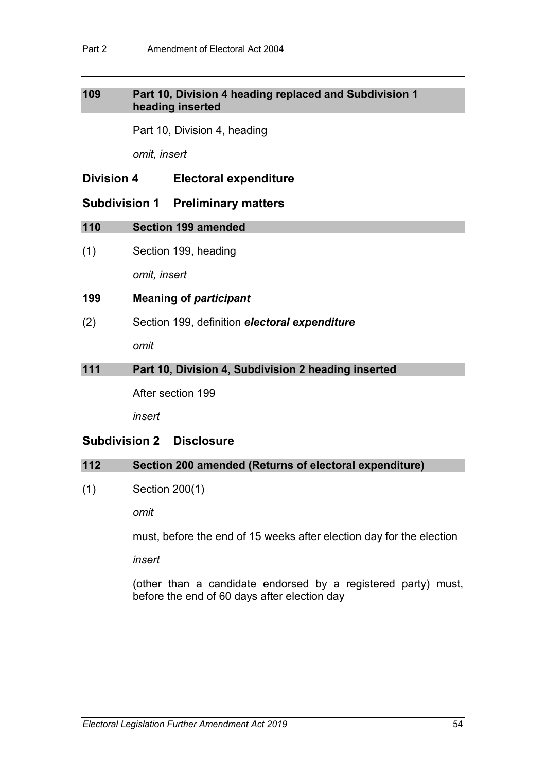## **109 Part 10, Division 4 heading replaced and Subdivision 1 heading inserted**

Part 10, Division 4, heading

*omit, insert*

## **Division 4 Electoral expenditure**

## **Subdivision 1 Preliminary matters**

## **110 Section 199 amended**

(1) Section 199, heading

*omit, insert*

## **199 Meaning of** *participant*

(2) Section 199, definition *electoral expenditure omit*

## **111 Part 10, Division 4, Subdivision 2 heading inserted**

After section 199

*insert*

## **Subdivision 2 Disclosure**

## **112 Section 200 amended (Returns of electoral expenditure)**

(1) Section 200(1)

*omit*

must, before the end of 15 weeks after election day for the election

*insert*

(other than a candidate endorsed by a registered party) must, before the end of 60 days after election day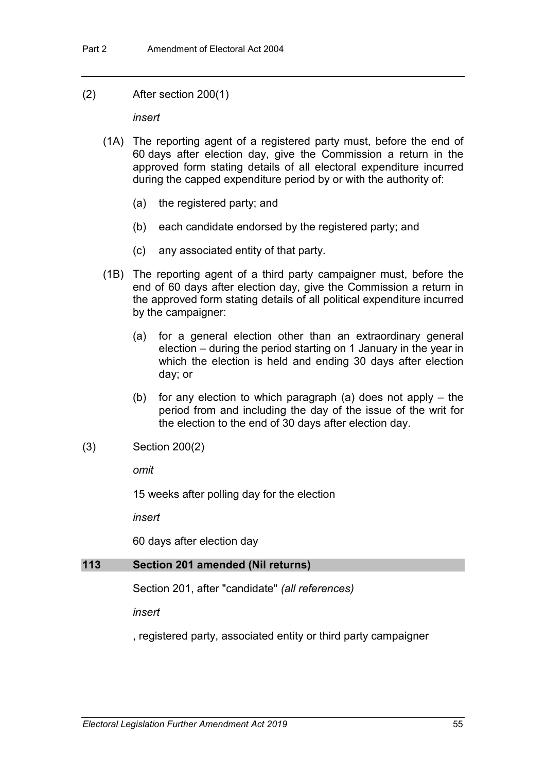(2) After section 200(1)

*insert*

- (1A) The reporting agent of a registered party must, before the end of 60 days after election day, give the Commission a return in the approved form stating details of all electoral expenditure incurred during the capped expenditure period by or with the authority of:
	- (a) the registered party; and
	- (b) each candidate endorsed by the registered party; and
	- (c) any associated entity of that party.
- (1B) The reporting agent of a third party campaigner must, before the end of 60 days after election day, give the Commission a return in the approved form stating details of all political expenditure incurred by the campaigner:
	- (a) for a general election other than an extraordinary general election – during the period starting on 1 January in the year in which the election is held and ending 30 days after election day; or
	- (b) for any election to which paragraph (a) does not apply the period from and including the day of the issue of the writ for the election to the end of 30 days after election day.
- (3) Section 200(2)

*omit*

15 weeks after polling day for the election

*insert*

60 days after election day

## **113 Section 201 amended (Nil returns)**

Section 201, after "candidate" *(all references)*

*insert*

, registered party, associated entity or third party campaigner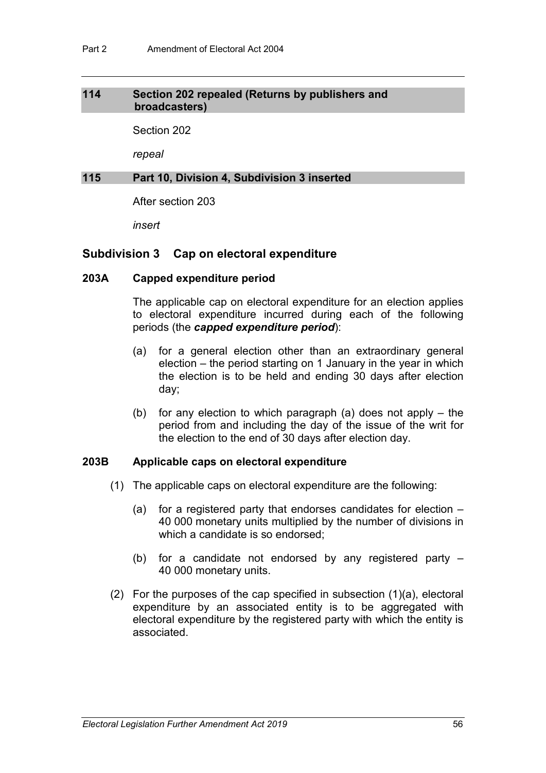### **114 Section 202 repealed (Returns by publishers and broadcasters)**

Section 202

*repeal*

### **115 Part 10, Division 4, Subdivision 3 inserted**

After section 203

*insert*

## **Subdivision 3 Cap on electoral expenditure**

## **203A Capped expenditure period**

The applicable cap on electoral expenditure for an election applies to electoral expenditure incurred during each of the following periods (the *capped expenditure period*):

- (a) for a general election other than an extraordinary general election – the period starting on 1 January in the year in which the election is to be held and ending 30 days after election day;
- (b) for any election to which paragraph (a) does not apply the period from and including the day of the issue of the writ for the election to the end of 30 days after election day.

#### **203B Applicable caps on electoral expenditure**

- (1) The applicable caps on electoral expenditure are the following:
	- (a) for a registered party that endorses candidates for election 40 000 monetary units multiplied by the number of divisions in which a candidate is so endorsed;
	- (b) for a candidate not endorsed by any registered party 40 000 monetary units.
- (2) For the purposes of the cap specified in subsection (1)(a), electoral expenditure by an associated entity is to be aggregated with electoral expenditure by the registered party with which the entity is associated.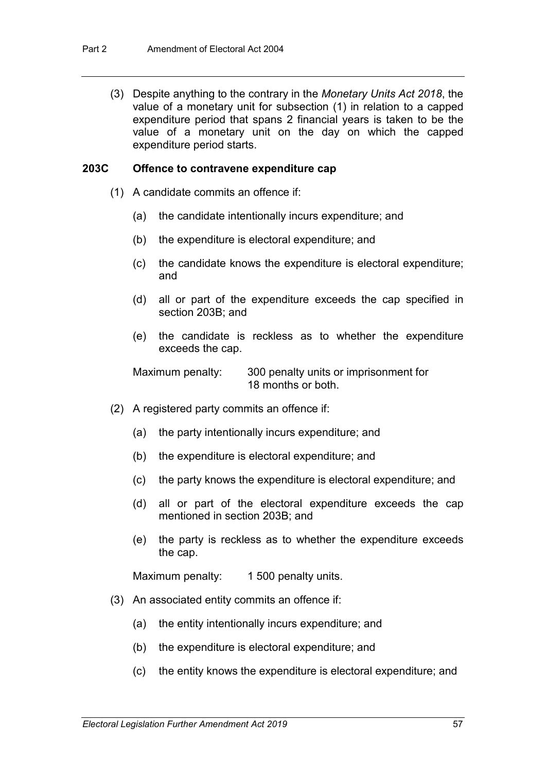(3) Despite anything to the contrary in the *Monetary Units Act 2018*, the value of a monetary unit for subsection (1) in relation to a capped expenditure period that spans 2 financial years is taken to be the value of a monetary unit on the day on which the capped expenditure period starts.

#### **203C Offence to contravene expenditure cap**

- (1) A candidate commits an offence if:
	- (a) the candidate intentionally incurs expenditure; and
	- (b) the expenditure is electoral expenditure; and
	- (c) the candidate knows the expenditure is electoral expenditure; and
	- (d) all or part of the expenditure exceeds the cap specified in section 203B; and
	- (e) the candidate is reckless as to whether the expenditure exceeds the cap.

Maximum penalty: 300 penalty units or imprisonment for 18 months or both.

- (2) A registered party commits an offence if:
	- (a) the party intentionally incurs expenditure; and
	- (b) the expenditure is electoral expenditure; and
	- (c) the party knows the expenditure is electoral expenditure; and
	- (d) all or part of the electoral expenditure exceeds the cap mentioned in section 203B; and
	- (e) the party is reckless as to whether the expenditure exceeds the cap.

Maximum penalty: 1 500 penalty units.

- (3) An associated entity commits an offence if:
	- (a) the entity intentionally incurs expenditure; and
	- (b) the expenditure is electoral expenditure; and
	- (c) the entity knows the expenditure is electoral expenditure; and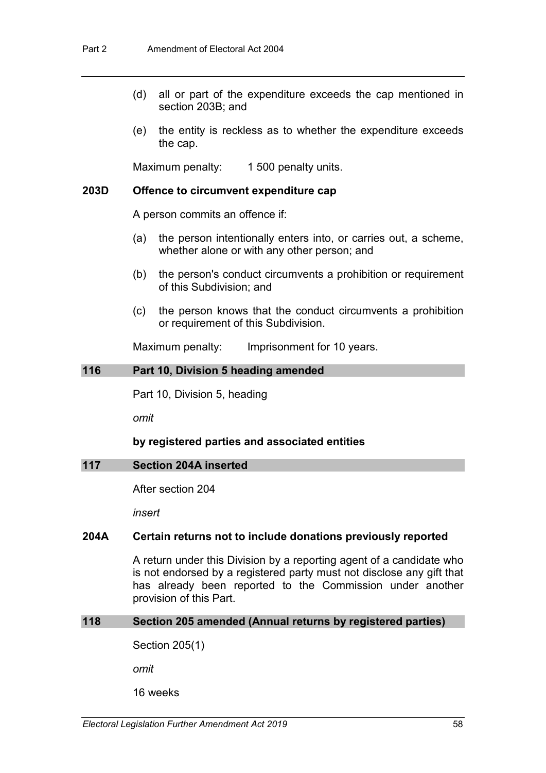- (d) all or part of the expenditure exceeds the cap mentioned in section 203B; and
- (e) the entity is reckless as to whether the expenditure exceeds the cap.

Maximum penalty: 1 500 penalty units.

#### **203D Offence to circumvent expenditure cap**

A person commits an offence if:

- (a) the person intentionally enters into, or carries out, a scheme, whether alone or with any other person; and
- (b) the person's conduct circumvents a prohibition or requirement of this Subdivision; and
- (c) the person knows that the conduct circumvents a prohibition or requirement of this Subdivision.

Maximum penalty: Imprisonment for 10 years.

### **116 Part 10, Division 5 heading amended**

Part 10, Division 5, heading

*omit*

#### **by registered parties and associated entities**

#### **117 Section 204A inserted**

After section 204

*insert*

### **204A Certain returns not to include donations previously reported**

A return under this Division by a reporting agent of a candidate who is not endorsed by a registered party must not disclose any gift that has already been reported to the Commission under another provision of this Part.

#### **118 Section 205 amended (Annual returns by registered parties)**

Section 205(1)

*omit*

16 weeks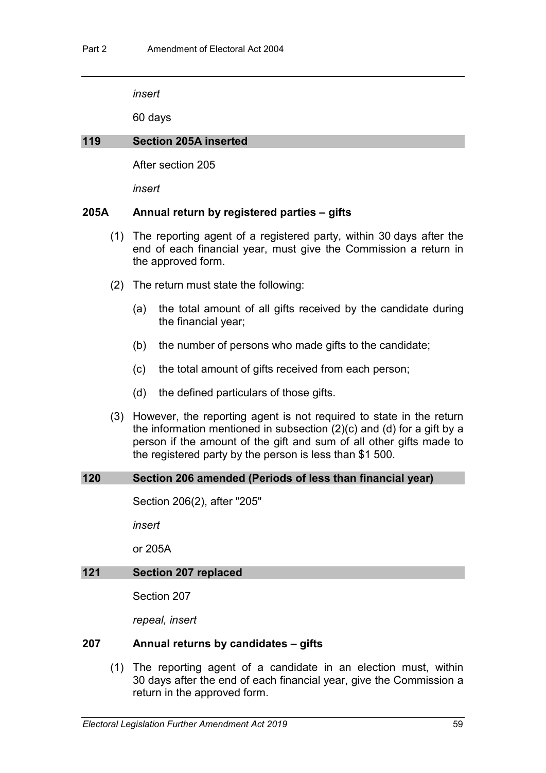*insert*

60 days

#### **119 Section 205A inserted**

After section 205

*insert*

## **205A Annual return by registered parties – gifts**

- (1) The reporting agent of a registered party, within 30 days after the end of each financial year, must give the Commission a return in the approved form.
- (2) The return must state the following:
	- (a) the total amount of all gifts received by the candidate during the financial year;
	- (b) the number of persons who made gifts to the candidate;
	- (c) the total amount of gifts received from each person;
	- (d) the defined particulars of those gifts.
- (3) However, the reporting agent is not required to state in the return the information mentioned in subsection (2)(c) and (d) for a gift by a person if the amount of the gift and sum of all other gifts made to the registered party by the person is less than \$1 500.

#### **120 Section 206 amended (Periods of less than financial year)**

Section 206(2), after "205"

*insert*

or 205A

## **121 Section 207 replaced**

Section 207

*repeal, insert*

## **207 Annual returns by candidates – gifts**

(1) The reporting agent of a candidate in an election must, within 30 days after the end of each financial year, give the Commission a return in the approved form.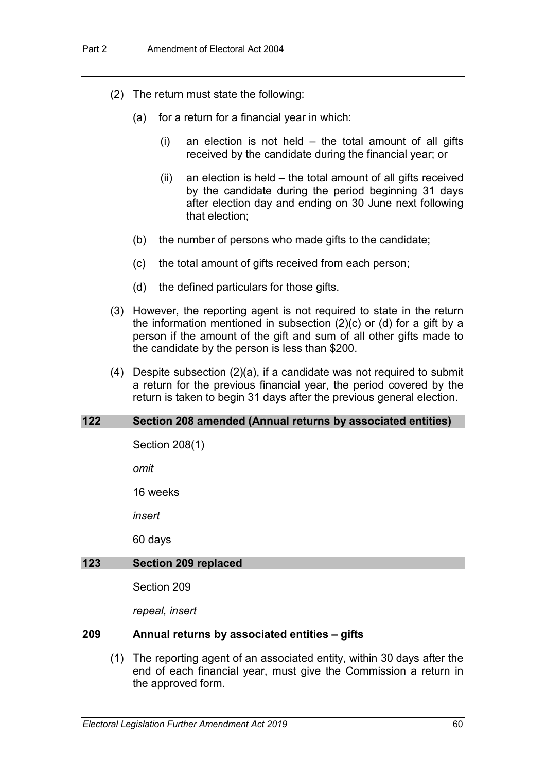- (2) The return must state the following:
	- (a) for a return for a financial year in which:
		- (i) an election is not held the total amount of all gifts received by the candidate during the financial year; or
		- (ii) an election is held the total amount of all gifts received by the candidate during the period beginning 31 days after election day and ending on 30 June next following that election;
	- (b) the number of persons who made gifts to the candidate;
	- (c) the total amount of gifts received from each person;
	- (d) the defined particulars for those gifts.
- (3) However, the reporting agent is not required to state in the return the information mentioned in subsection (2)(c) or (d) for a gift by a person if the amount of the gift and sum of all other gifts made to the candidate by the person is less than \$200.
- (4) Despite subsection (2)(a), if a candidate was not required to submit a return for the previous financial year, the period covered by the return is taken to begin 31 days after the previous general election.

#### **122 Section 208 amended (Annual returns by associated entities)**

Section 208(1)

*omit*

16 weeks

*insert*

60 days

#### **123 Section 209 replaced**

Section 209

*repeal, insert*

### **209 Annual returns by associated entities – gifts**

(1) The reporting agent of an associated entity, within 30 days after the end of each financial year, must give the Commission a return in the approved form.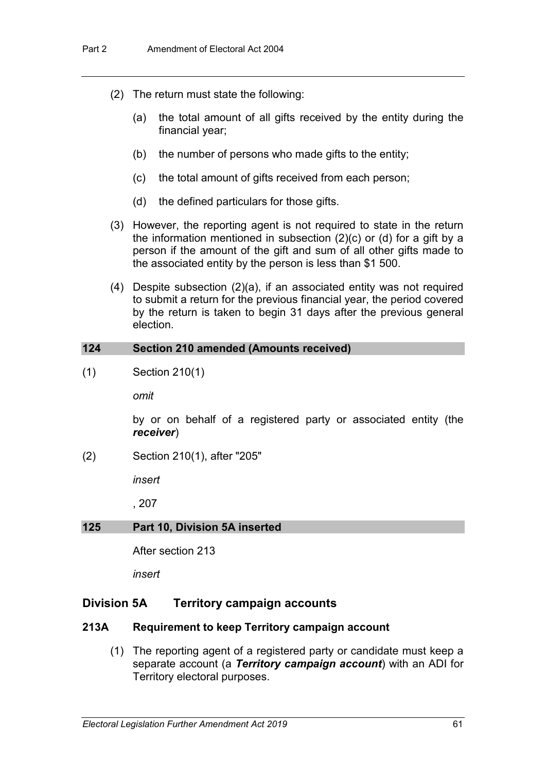- (2) The return must state the following:
	- (a) the total amount of all gifts received by the entity during the financial year;
	- (b) the number of persons who made gifts to the entity;
	- (c) the total amount of gifts received from each person;
	- (d) the defined particulars for those gifts.
- (3) However, the reporting agent is not required to state in the return the information mentioned in subsection (2)(c) or (d) for a gift by a person if the amount of the gift and sum of all other gifts made to the associated entity by the person is less than \$1 500.
- (4) Despite subsection (2)(a), if an associated entity was not required to submit a return for the previous financial year, the period covered by the return is taken to begin 31 days after the previous general election.

### **124 Section 210 amended (Amounts received)**

(1) Section 210(1)

*omit*

by or on behalf of a registered party or associated entity (the *receiver*)

(2) Section 210(1), after "205"

*insert*

, 207

#### **125 Part 10, Division 5A inserted**

After section 213

*insert*

## **Division 5A Territory campaign accounts**

#### **213A Requirement to keep Territory campaign account**

(1) The reporting agent of a registered party or candidate must keep a separate account (a *Territory campaign account*) with an ADI for Territory electoral purposes.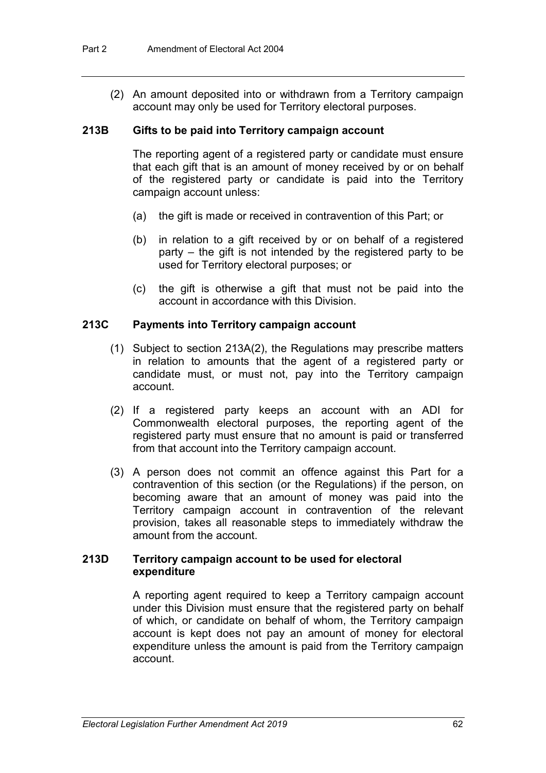(2) An amount deposited into or withdrawn from a Territory campaign account may only be used for Territory electoral purposes.

### **213B Gifts to be paid into Territory campaign account**

The reporting agent of a registered party or candidate must ensure that each gift that is an amount of money received by or on behalf of the registered party or candidate is paid into the Territory campaign account unless:

- (a) the gift is made or received in contravention of this Part; or
- (b) in relation to a gift received by or on behalf of a registered party – the gift is not intended by the registered party to be used for Territory electoral purposes; or
- (c) the gift is otherwise a gift that must not be paid into the account in accordance with this Division.

## **213C Payments into Territory campaign account**

- (1) Subject to section 213A(2), the Regulations may prescribe matters in relation to amounts that the agent of a registered party or candidate must, or must not, pay into the Territory campaign account.
- (2) If a registered party keeps an account with an ADI for Commonwealth electoral purposes, the reporting agent of the registered party must ensure that no amount is paid or transferred from that account into the Territory campaign account.
- (3) A person does not commit an offence against this Part for a contravention of this section (or the Regulations) if the person, on becoming aware that an amount of money was paid into the Territory campaign account in contravention of the relevant provision, takes all reasonable steps to immediately withdraw the amount from the account.

### **213D Territory campaign account to be used for electoral expenditure**

A reporting agent required to keep a Territory campaign account under this Division must ensure that the registered party on behalf of which, or candidate on behalf of whom, the Territory campaign account is kept does not pay an amount of money for electoral expenditure unless the amount is paid from the Territory campaign account.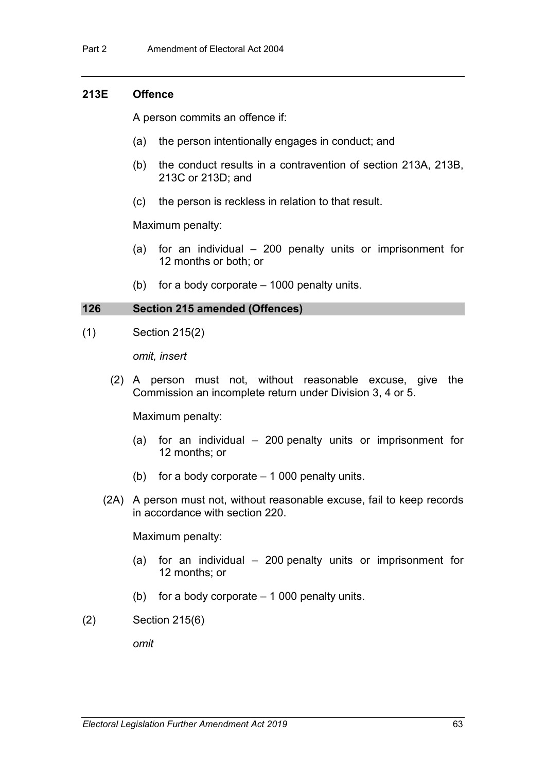## **213E Offence**

A person commits an offence if:

- (a) the person intentionally engages in conduct; and
- (b) the conduct results in a contravention of section 213A, 213B, 213C or 213D; and
- (c) the person is reckless in relation to that result.

#### Maximum penalty:

- (a) for an individual 200 penalty units or imprisonment for 12 months or both; or
- (b) for a body corporate 1000 penalty units.

### **126 Section 215 amended (Offences)**

(1) Section 215(2)

*omit, insert*

(2) A person must not, without reasonable excuse, give the Commission an incomplete return under Division 3, 4 or 5.

Maximum penalty:

- (a) for an individual 200 penalty units or imprisonment for 12 months; or
- (b) for a body corporate 1 000 penalty units.
- (2A) A person must not, without reasonable excuse, fail to keep records in accordance with section 220.

Maximum penalty:

- (a) for an individual 200 penalty units or imprisonment for 12 months; or
- (b) for a body corporate  $-1000$  penalty units.
- (2) Section 215(6)

*omit*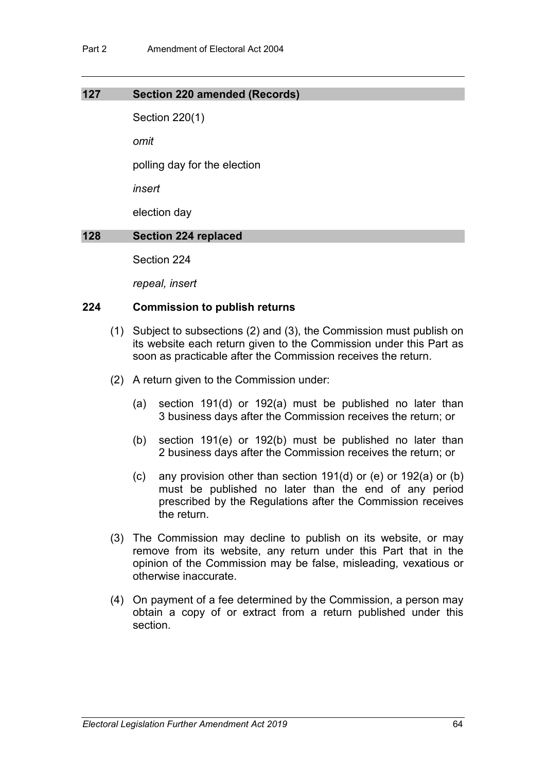#### **127 Section 220 amended (Records)**

Section 220(1)

*omit*

polling day for the election

*insert*

election day

## **128 Section 224 replaced**

Section 224

*repeal, insert*

### **224 Commission to publish returns**

- (1) Subject to subsections (2) and (3), the Commission must publish on its website each return given to the Commission under this Part as soon as practicable after the Commission receives the return.
- (2) A return given to the Commission under:
	- (a) section 191(d) or 192(a) must be published no later than 3 business days after the Commission receives the return; or
	- (b) section 191(e) or 192(b) must be published no later than 2 business days after the Commission receives the return; or
	- (c) any provision other than section 191(d) or (e) or 192(a) or (b) must be published no later than the end of any period prescribed by the Regulations after the Commission receives the return.
- (3) The Commission may decline to publish on its website, or may remove from its website, any return under this Part that in the opinion of the Commission may be false, misleading, vexatious or otherwise inaccurate.
- (4) On payment of a fee determined by the Commission, a person may obtain a copy of or extract from a return published under this section.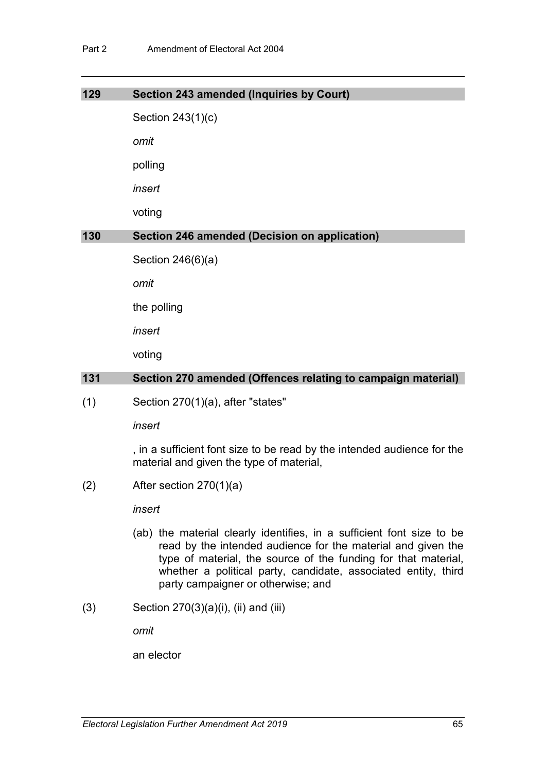## **129 Section 243 amended (Inquiries by Court)**

Section 243(1)(c)

*omit*

polling

*insert*

voting

# **130 Section 246 amended (Decision on application)**

Section 246(6)(a)

*omit*

the polling

*insert*

voting

# **131 Section 270 amended (Offences relating to campaign material)**

 $(1)$  Section 270 $(1)(a)$ , after "states"

*insert*

, in a sufficient font size to be read by the intended audience for the material and given the type of material,

 $(2)$  After section 270 $(1)(a)$ 

*insert*

- (ab) the material clearly identifies, in a sufficient font size to be read by the intended audience for the material and given the type of material, the source of the funding for that material, whether a political party, candidate, associated entity, third party campaigner or otherwise; and
- $(3)$  Section 270 $(3)(a)(i)$ ,  $(ii)$  and  $(iii)$

*omit*

an elector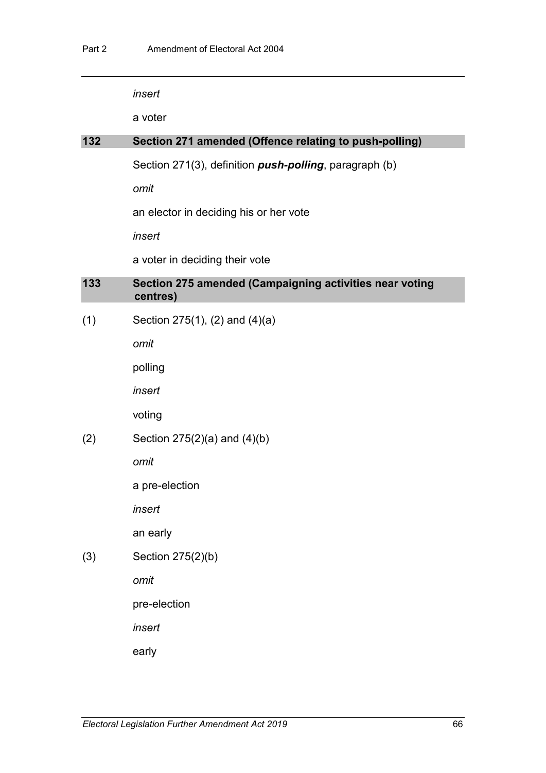*insert*

a voter

## **132 Section 271 amended (Offence relating to push-polling)**

Section 271(3), definition *push-polling*, paragraph (b)

*omit*

an elector in deciding his or her vote

*insert*

a voter in deciding their vote

# **133 Section 275 amended (Campaigning activities near voting centres)**

 $(1)$  Section 275(1), (2) and (4)(a)

*omit*

polling

*insert*

voting

# (2) Section  $275(2)(a)$  and  $(4)(b)$

*omit*

a pre-election

*insert*

an early

(3) Section 275(2)(b)

*omit*

pre-election

*insert*

early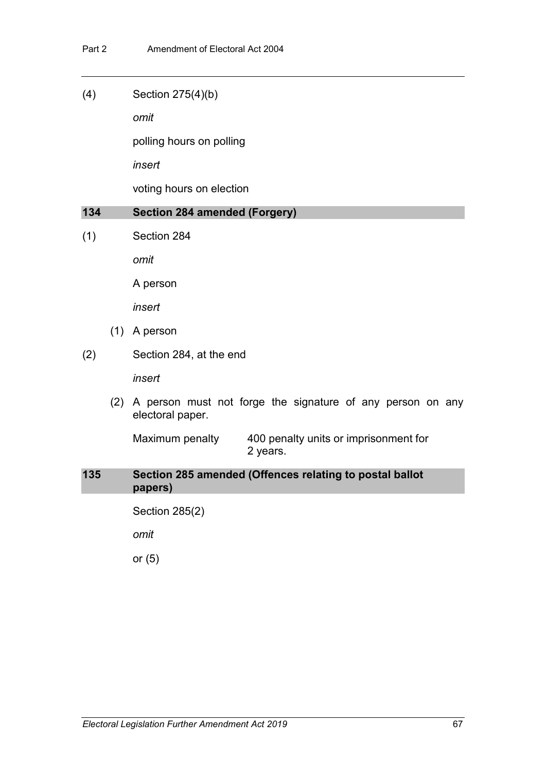(4) Section 275(4)(b)

*omit*

polling hours on polling

*insert*

voting hours on election

#### **134 Section 284 amended (Forgery)**

(1) Section 284

*omit*

A person

*insert*

- (1) A person
- (2) Section 284, at the end

*insert*

(2) A person must not forge the signature of any person on any electoral paper.

Maximum penalty 400 penalty units or imprisonment for 2 years.

**135 Section 285 amended (Offences relating to postal ballot papers)**

Section 285(2)

*omit*

or (5)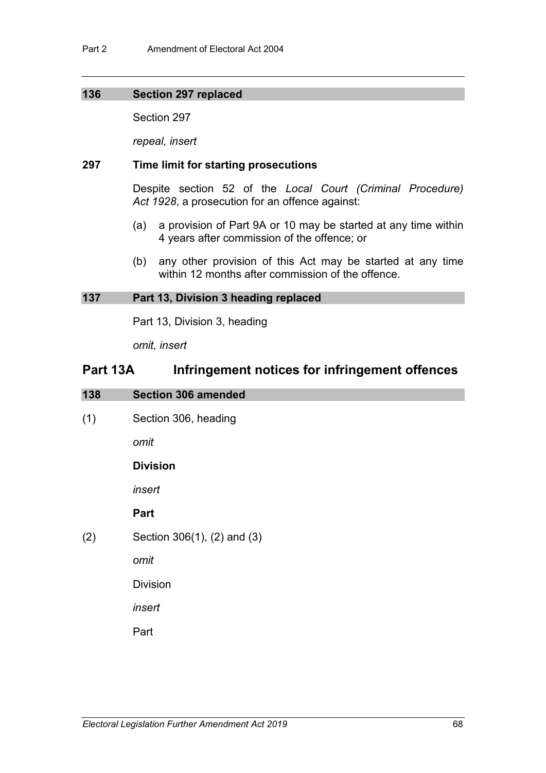## **136 Section 297 replaced**

Section 297

*repeal, insert*

## **297 Time limit for starting prosecutions**

Despite section 52 of the *Local Court (Criminal Procedure) Act 1928*, a prosecution for an offence against:

- (a) a provision of Part 9A or 10 may be started at any time within 4 years after commission of the offence; or
- (b) any other provision of this Act may be started at any time within 12 months after commission of the offence.

#### **137 Part 13, Division 3 heading replaced**

Part 13, Division 3, heading

*omit, insert*

# **Part 13A Infringement notices for infringement offences**

| 138 | <b>Section 306 amended</b>  |
|-----|-----------------------------|
| (1) | Section 306, heading        |
|     | omit                        |
|     | <b>Division</b>             |
|     | insert                      |
|     | Part                        |
| (2) | Section 306(1), (2) and (3) |
|     | omit                        |
|     | <b>Division</b>             |
|     | insert                      |
|     | Part                        |
|     |                             |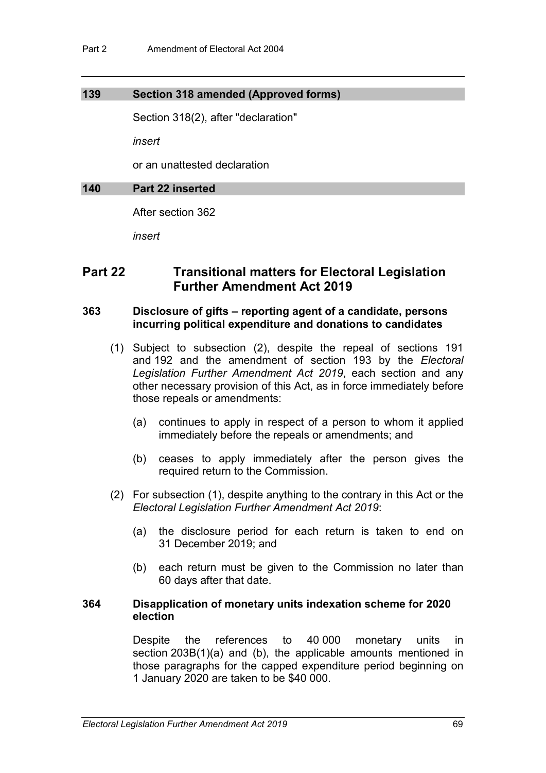## **139 Section 318 amended (Approved forms)**

Section 318(2), after "declaration"

*insert*

or an unattested declaration

### **140 Part 22 inserted**

After section 362

*insert*

# **Part 22 Transitional matters for Electoral Legislation Further Amendment Act 2019**

# **363 Disclosure of gifts – reporting agent of a candidate, persons incurring political expenditure and donations to candidates**

- (1) Subject to subsection (2), despite the repeal of sections 191 and 192 and the amendment of section 193 by the *Electoral Legislation Further Amendment Act 2019*, each section and any other necessary provision of this Act, as in force immediately before those repeals or amendments:
	- (a) continues to apply in respect of a person to whom it applied immediately before the repeals or amendments; and
	- (b) ceases to apply immediately after the person gives the required return to the Commission.
- (2) For subsection (1), despite anything to the contrary in this Act or the *Electoral Legislation Further Amendment Act 2019*:
	- (a) the disclosure period for each return is taken to end on 31 December 2019; and
	- (b) each return must be given to the Commission no later than 60 days after that date.

#### **364 Disapplication of monetary units indexation scheme for 2020 election**

Despite the references to 40 000 monetary units in section 203B(1)(a) and (b), the applicable amounts mentioned in those paragraphs for the capped expenditure period beginning on 1 January 2020 are taken to be \$40 000.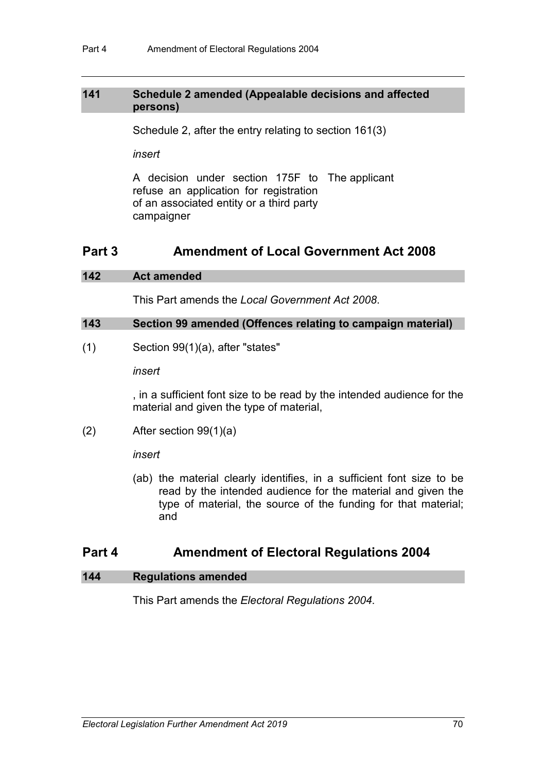# **141 Schedule 2 amended (Appealable decisions and affected persons)**

Schedule 2, after the entry relating to section 161(3)

*insert*

A decision under section 175F to The applicant refuse an application for registration of an associated entity or a third party campaigner

# **Part 3 Amendment of Local Government Act 2008**

# **142 Act amended**

This Part amends the *Local Government Act 2008*.

## **143 Section 99 amended (Offences relating to campaign material)**

(1) Section 99(1)(a), after "states"

*insert*

, in a sufficient font size to be read by the intended audience for the material and given the type of material,

(2) After section 99(1)(a)

*insert*

(ab) the material clearly identifies, in a sufficient font size to be read by the intended audience for the material and given the type of material, the source of the funding for that material; and

# **Part 4 Amendment of Electoral Regulations 2004**

# **144 Regulations amended**

This Part amends the *Electoral Regulations 2004*.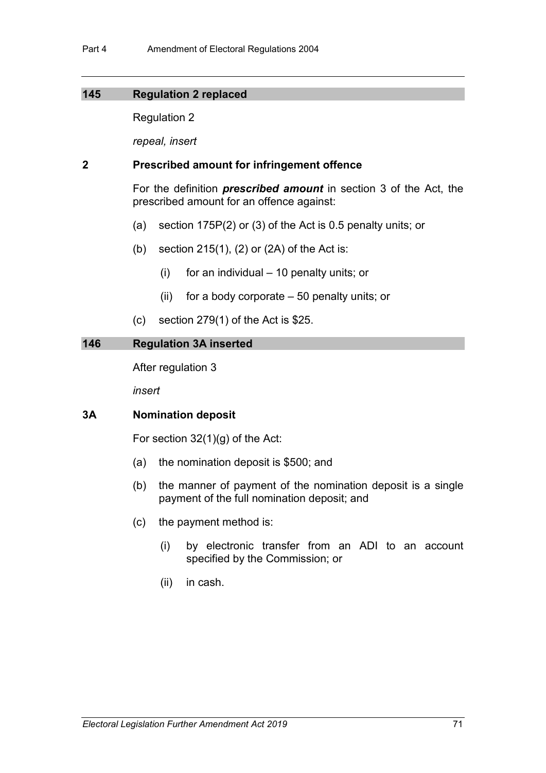## **145 Regulation 2 replaced**

Regulation 2

*repeal, insert*

## **2 Prescribed amount for infringement offence**

For the definition *prescribed amount* in section 3 of the Act, the prescribed amount for an offence against:

- (a) section 175P(2) or (3) of the Act is 0.5 penalty units; or
- (b) section  $215(1)$ ,  $(2)$  or  $(2A)$  of the Act is:
	- (i) for an individual 10 penalty units; or
	- (ii) for a body corporate 50 penalty units; or
- (c) section 279(1) of the Act is \$25.

## **146 Regulation 3A inserted**

After regulation 3

*insert*

# **3A Nomination deposit**

For section 32(1)(g) of the Act:

- (a) the nomination deposit is \$500; and
- (b) the manner of payment of the nomination deposit is a single payment of the full nomination deposit; and
- (c) the payment method is:
	- (i) by electronic transfer from an ADI to an account specified by the Commission; or
	- (ii) in cash.